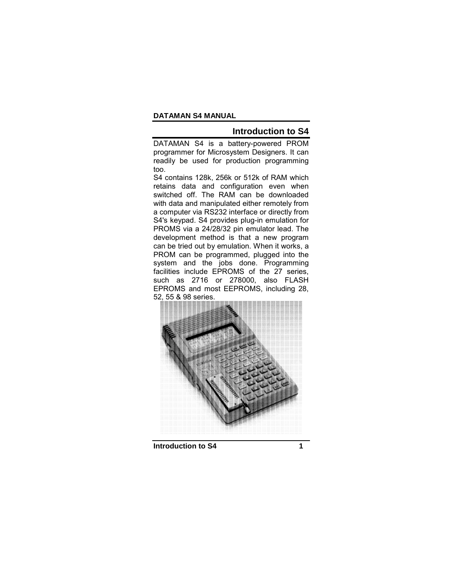# **Introduction to S4**

DATAMAN S4 is a battery-powered PROM programmer for Microsystem Designers. It can readily be used for production programming too.

S4 contains 128k, 256k or 512k of RAM which retains data and configuration even when switched off. The RAM can be downloaded with data and manipulated either remotely from a computer via RS232 interface or directly from S4's keypad. S4 provides plug-in emulation for PROMS via a 24/28/32 pin emulator lead. The development method is that a new program can be tried out by emulation. When it works, a PROM can be programmed, plugged into the system and the jobs done. Programming facilities include EPROMS of the 27 series, such as 2716 or 278000, also FLASH EPROMS and most EEPROMS, including 28, 52, 55 & 98 series.



**Introduction to S4** 1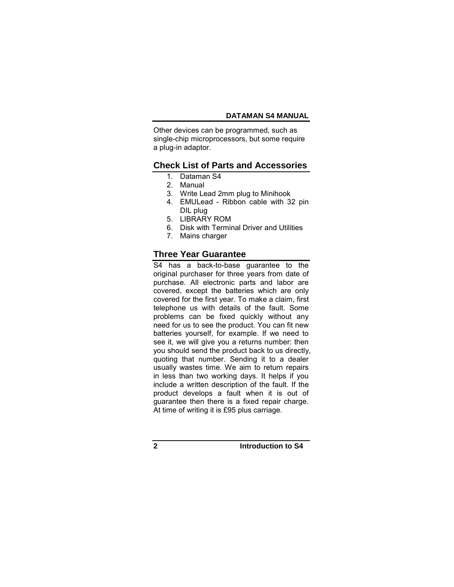Other devices can be programmed, such as single-chip microprocessors, but some require a plug-in adaptor.

# **Check List of Parts and Accessories**

- 1. Dataman S4
- 2. Manual
- 3. Write Lead 2mm plug to Minihook
- 4. EMULead Ribbon cable with 32 pin DIL plug
- 5. LIBRARY ROM
- 6. Disk with Terminal Driver and Utilities
- 7. Mains charger

# **Three Year Guarantee**

S4 has a back-to-base guarantee to the original purchaser for three years from date of purchase. All electronic parts and labor are covered, except the batteries which are only covered for the first year. To make a claim, first telephone us with details of the fault. Some problems can be fixed quickly without any need for us to see the product. You can fit new batteries yourself, for example. If we need to see it, we will give you a returns number: then you should send the product back to us directly, quoting that number. Sending it to a dealer usually wastes time. We aim to return repairs in less than two working days. It helps if you include a written description of the fault. If the product develops a fault when it is out of guarantee then there is a fixed repair charge. At time of writing it is £95 plus carriage.

**2 Introduction to S4**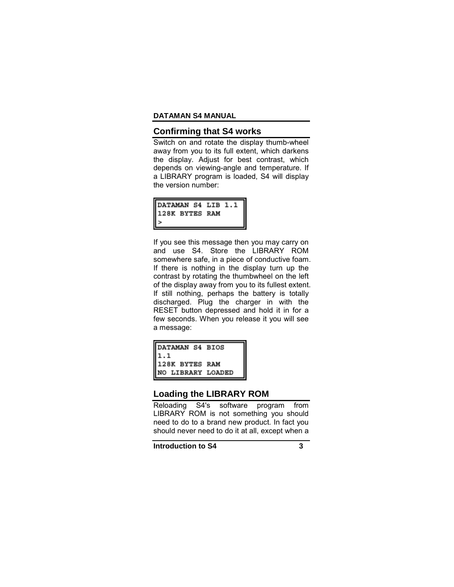## **Confirming that S4 works**

Switch on and rotate the display thumb-wheel away from you to its full extent, which darkens the display. Adjust for best contrast, which depends on viewing-angle and temperature. If a LIBRARY program is loaded, S4 will display the version number:

| DATAMAN S4 LIB 1.1<br>128K BYTES RAM<br>> |  |
|-------------------------------------------|--|
|                                           |  |
|                                           |  |

If you see this message then you may carry on and use S4. Store the LIBRARY ROM somewhere safe, in a piece of conductive foam. If there is nothing in the display turn up the contrast by rotating the thumbwheel on the left of the display away from you to its fullest extent. If still nothing, perhaps the battery is totally discharged. Plug the charger in with the RESET button depressed and hold it in for a few seconds. When you release it you will see a message:

| DATAMAN S4 BIOS<br>1.1<br>128K BYTES RAM<br>NO LIBRARY LOADED |  |
|---------------------------------------------------------------|--|
|                                                               |  |
|                                                               |  |
|                                                               |  |

## **Loading the LIBRARY ROM**

Reloading S4's software program from LIBRARY ROM is not something you should need to do to a brand new product. In fact you should never need to do it at all, except when a

**Introduction to S4** 3

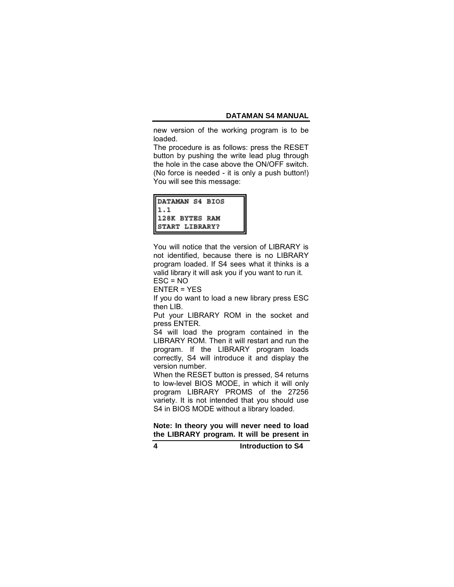new version of the working program is to be loaded.

The procedure is as follows: press the RESET button by pushing the write lead plug through the hole in the case above the ON/OFF switch. (No force is needed - it is only a push button!) You will see this message:

| DATAMAN S4 BIOS<br>1.1<br>128K BYTES RAM<br>START LIBRARY? |  |
|------------------------------------------------------------|--|
|                                                            |  |
|                                                            |  |
|                                                            |  |

You will notice that the version of LIBRARY is not identified, because there is no LIBRARY program loaded. If S4 sees what it thinks is a valid library it will ask you if you want to run it.  $ESC = NO$ 

ENTER = YES

If you do want to load a new library press ESC then LIB.

Put your LIBRARY ROM in the socket and press ENTER.

S4 will load the program contained in the LIBRARY ROM. Then it will restart and run the program. If the LIBRARY program loads correctly, S4 will introduce it and display the version number.

When the RESET button is pressed, S4 returns to low-level BIOS MODE, in which it will only program LIBRARY PROMS of the 27256 variety. It is not intended that you should use S4 in BIOS MODE without a library loaded.

**Note: In theory you will never need to load the LIBRARY program. It will be present in** 

**4 Introduction to S4**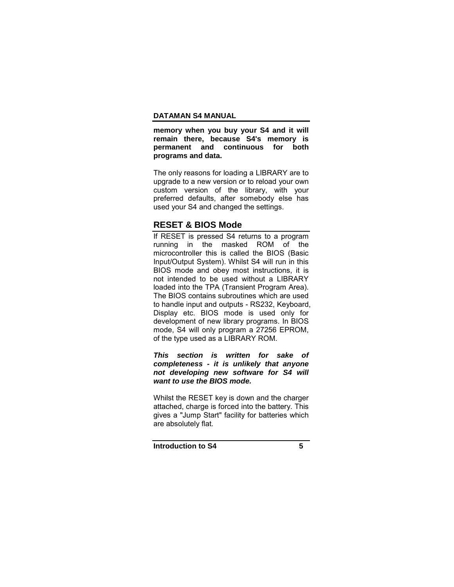**memory when you buy your S4 and it will remain there, because S4's memory is permanent and continuous for both programs and data.** 

The only reasons for loading a LIBRARY are to upgrade to a new version or to reload your own custom version of the library, with your preferred defaults, after somebody else has used your S4 and changed the settings.

# **RESET & BIOS Mode**

If RESET is pressed S4 returns to a program running in the masked ROM of the microcontroller this is called the BIOS (Basic Input/Output System). Whilst S4 will run in this BIOS mode and obey most instructions, it is not intended to be used without a LIBRARY loaded into the TPA (Transient Program Area). The BIOS contains subroutines which are used to handle input and outputs - RS232, Keyboard, Display etc. BIOS mode is used only for development of new library programs. In BIOS mode, S4 will only program a 27256 EPROM, of the type used as a LIBRARY ROM.

*This section is written for sake of completeness - it is unlikely that anyone not developing new software for S4 will want to use the BIOS mode.* 

Whilst the RESET key is down and the charger attached, charge is forced into the battery. This gives a "Jump Start" facility for batteries which are absolutely flat.

**Introduction to S4** 5

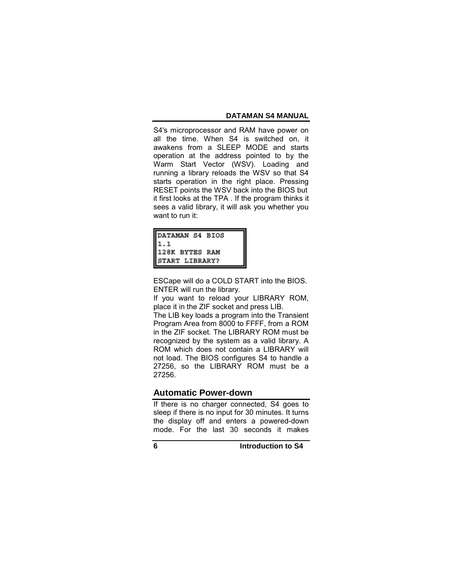S4's microprocessor and RAM have power on all the time. When S4 is switched on, it awakens from a SLEEP MODE and starts operation at the address pointed to by the Warm Start Vector (WSV). Loading and running a library reloads the WSV so that S4 starts operation in the right place. Pressing RESET points the WSV back into the BIOS but it first looks at the TPA . If the program thinks it sees a valid library, it will ask you whether you want to run it:

| DATAMAN S4 BIOS |  |
|-----------------|--|
| 11.1            |  |
| 128K BYTES RAM  |  |
| START LIBRARY?  |  |

ESCape will do a COLD START into the BIOS. ENTER will run the library.

If you want to reload your LIBRARY ROM, place it in the ZIF socket and press LIB.

The LIB key loads a program into the Transient Program Area from 8000 to FFFF, from a ROM in the ZIF socket. The LIBRARY ROM must be recognized by the system as a valid library. A ROM which does not contain a LIBRARY will not load. The BIOS configures S4 to handle a 27256, so the LIBRARY ROM must be a 27256.

## **Automatic Power-down**

If there is no charger connected, S4 goes to sleep if there is no input for 30 minutes. It turns the display off and enters a powered-down mode. For the last 30 seconds it makes

**6 Introduction to S4**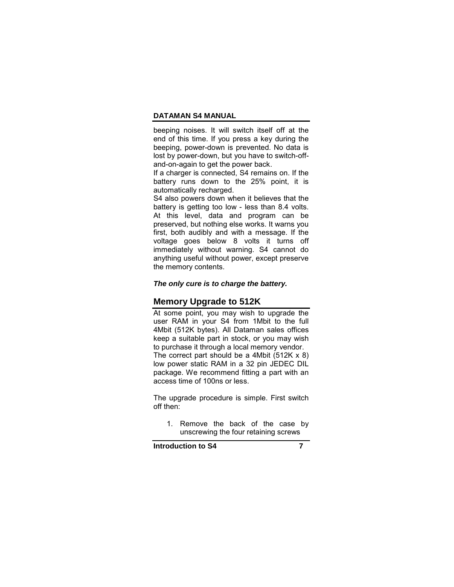beeping noises. It will switch itself off at the end of this time. If you press a key during the beeping, power-down is prevented. No data is lost by power-down, but you have to switch-offand-on-again to get the power back.

If a charger is connected, S4 remains on. If the battery runs down to the 25% point, it is automatically recharged.

S4 also powers down when it believes that the battery is getting too low - less than 8.4 volts. At this level, data and program can be preserved, but nothing else works. It warns you first, both audibly and with a message. If the voltage goes below 8 volts it turns off immediately without warning. S4 cannot do anything useful without power, except preserve the memory contents.

### *The only cure is to charge the battery.*

## **Memory Upgrade to 512K**

At some point, you may wish to upgrade the user RAM in your S4 from 1Mbit to the full 4Mbit (512K bytes). All Dataman sales offices keep a suitable part in stock, or you may wish to purchase it through a local memory vendor. The correct part should be a 4Mbit (512K x 8) low power static RAM in a 32 pin JEDEC DIL package. We recommend fitting a part with an access time of 100ns or less.

The upgrade procedure is simple. First switch off then:

1. Remove the back of the case by unscrewing the four retaining screws

**Introduction to S4** 7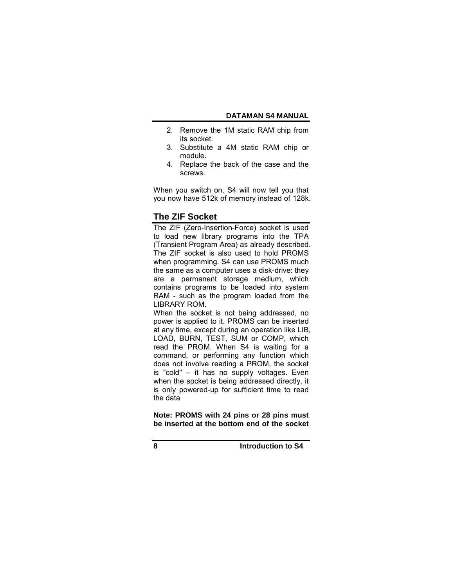- 2. Remove the 1M static RAM chip from its socket.
- 3. Substitute a 4M static RAM chip or module.
- 4. Replace the back of the case and the screws.

When you switch on, S4 will now tell you that you now have 512k of memory instead of 128k.

# **The ZIF Socket**

The ZIF (Zero-Insertion-Force) socket is used to load new library programs into the TPA (Transient Program Area) as already described. The ZIF socket is also used to hold PROMS when programming. S4 can use PROMS much the same as a computer uses a disk-drive: they are a permanent storage medium, which contains programs to be loaded into system RAM - such as the program loaded from the LIBRARY ROM.

When the socket is not being addressed, no power is applied to it. PROMS can be inserted at any time, except during an operation like LIB, LOAD, BURN, TEST, SUM or COMP, which read the PROM. When S4 is waiting for a command, or performing any function which does not involve reading a PROM, the socket is "cold"  $-$  it has no supply voltages. Even when the socket is being addressed directly, it is only powered-up for sufficient time to read the data

**Note: PROMS with 24 pins or 28 pins must be inserted at the bottom end of the socket** 

**8 Introduction to S4**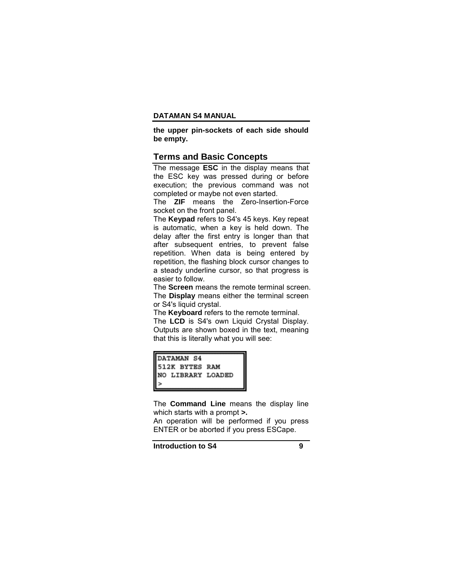**the upper pin-sockets of each side should be empty.** 

### **Terms and Basic Concepts**

The message **ESC** in the display means that the ESC key was pressed during or before execution; the previous command was not completed or maybe not even started.

The **ZIF** means the Zero-Insertion-Force socket on the front panel.

The **Keypad** refers to S4's 45 keys. Key repeat is automatic, when a key is held down. The delay after the first entry is longer than that after subsequent entries, to prevent false repetition. When data is being entered by repetition, the flashing block cursor changes to a steady underline cursor, so that progress is easier to follow.

The **Screen** means the remote terminal screen. The **Display** means either the terminal screen or S4's liquid crystal.

The **Keyboard** refers to the remote terminal.

The **LCD** is S4's own Liquid Crystal Display. Outputs are shown boxed in the text, meaning that this is literally what you will see:

| <b>IDATAMAN S4</b>    |  |
|-----------------------|--|
| <b>512K BYTES RAM</b> |  |
| INO LIBRARY LOADED    |  |
|                       |  |

The **Command Line** means the display line which starts with a prompt **>.**

An operation will be performed if you press ENTER or be aborted if you press ESCape.

**Introduction to S4** 9

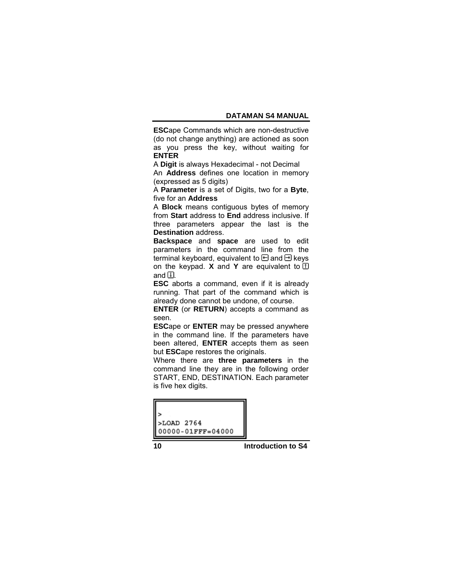**ESC**ape Commands which are non-destructive (do not change anything) are actioned as soon as you press the key, without waiting for **ENTER**

A **Digit** is always Hexadecimal - not Decimal

An **Address** defines one location in memory (expressed as 5 digits)

A **Parameter** is a set of Digits, two for a **Byte**, five for an **Address**

A **Block** means contiguous bytes of memory from **Start** address to **End** address inclusive. If three parameters appear the last is the **Destination** address.

**Backspace** and **space** are used to edit parameters in the command line from the terminal keyboard, equivalent to  $\boxminus$  and  $\boxminus$  keys on the keypad. **X** and **Y** are equivalent to  $\Box$ and  $\mathbb{E}$ .

**ESC** aborts a command, even if it is already running. That part of the command which is already done cannot be undone, of course.

**ENTER** (or **RETURN**) accepts a command as seen.

**ESC**ape or **ENTER** may be pressed anywhere in the command line. If the parameters have been altered, **ENTER** accepts them as seen but **ESC**ape restores the originals.

Where there are **three parameters** in the command line they are in the following order START, END, DESTINATION. Each parameter is five hex digits.

| >LOAD 2764             |  |
|------------------------|--|
| $00000 - 01$ FFF=04000 |  |

**10 Introduction to S4**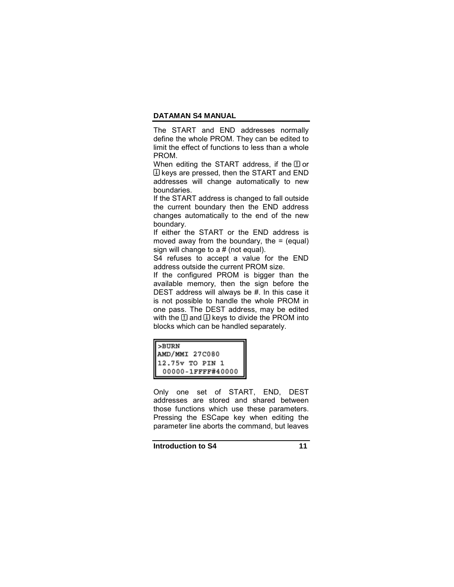The START and END addresses normally define the whole PROM. They can be edited to limit the effect of functions to less than a whole PROM.

When editing the START address, if the  $\Box$  or  $\mathbb B$  keys are pressed, then the START and END addresses will change automatically to new boundaries.

If the START address is changed to fall outside the current boundary then the END address changes automatically to the end of the new boundary.

If either the START or the END address is moved away from the boundary, the  $=$  (equal) sign will change to a # (not equal).

S4 refuses to accept a value for the END address outside the current PROM size.

If the configured PROM is bigger than the available memory, then the sign before the DEST address will always be #. In this case it is not possible to handle the whole PROM in one pass. The DEST address, may be edited with the  $\Box$  and  $\Box$  keys to divide the PROM into blocks which can be handled separately.

| >BURN<br>AMD/MMI 27C080 |  |
|-------------------------|--|
| 12.75v TO PIN           |  |
| 00000-1FFFF#40000       |  |

Only one set of START, END, DEST addresses are stored and shared between those functions which use these parameters. Pressing the ESCape key when editing the parameter line aborts the command, but leaves

**Introduction to S4** 11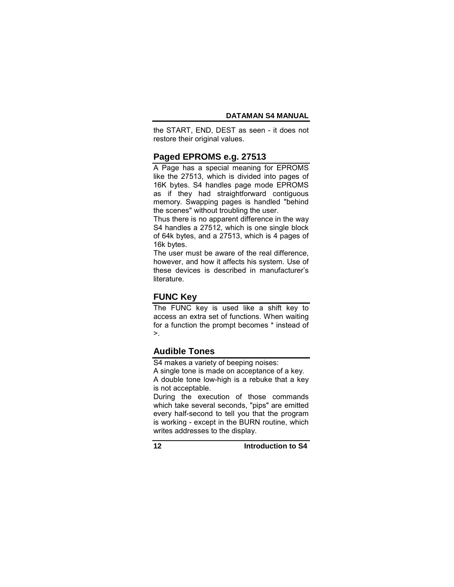the START, END, DEST as seen - it does not restore their original values.

## **Paged EPROMS e.g. 27513**

A Page has a special meaning for EPROMS like the 27513, which is divided into pages of 16K bytes. S4 handles page mode EPROMS as if they had straightforward contiguous memory. Swapping pages is handled "behind the scenes" without troubling the user.

Thus there is no apparent difference in the way S4 handles a 27512, which is one single block of 64k bytes, and a 27513, which is 4 pages of 16k bytes.

The user must be aware of the real difference, however, and how it affects his system. Use of these devices is described in manufacturerís literature.

# **FUNC Key**

The FUNC key is used like a shift key to access an extra set of functions. When waiting for a function the prompt becomes \* instead of  $\geq$ .

# **Audible Tones**

S4 makes a variety of beeping noises:

A single tone is made on acceptance of a key. A double tone low-high is a rebuke that a key

is not acceptable.

During the execution of those commands which take several seconds, "pips" are emitted every half-second to tell you that the program is working - except in the BURN routine, which writes addresses to the display.

**12 Introduction to S4**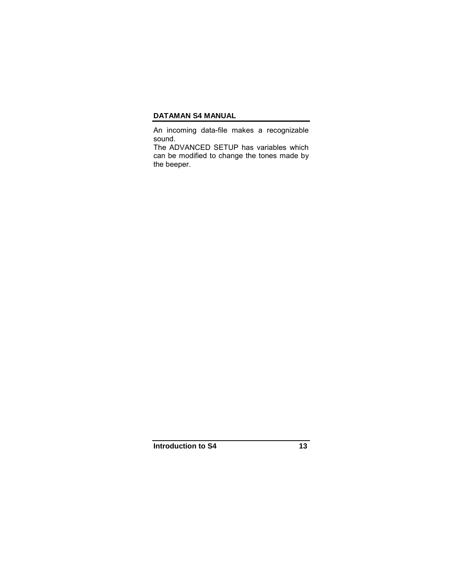An incoming data-file makes a recognizable sound.

The ADVANCED SETUP has variables which can be modified to change the tones made by the beeper.

**Introduction to S4** 13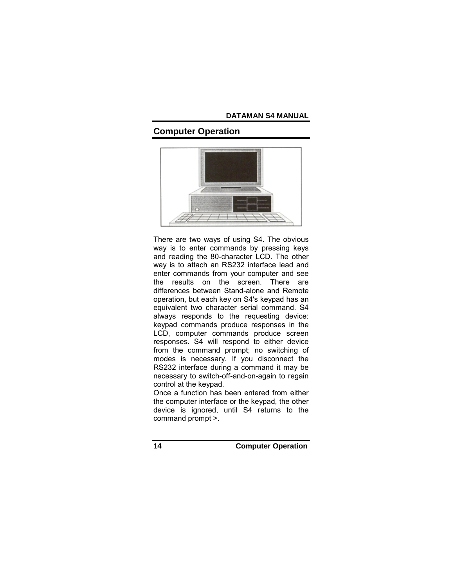# **Computer Operation**



There are two ways of using S4. The obvious way is to enter commands by pressing keys and reading the 80-character LCD. The other way is to attach an RS232 interface lead and enter commands from your computer and see the results on the screen. There are differences between Stand-alone and Remote operation, but each key on S4's keypad has an equivalent two character serial command. S4 always responds to the requesting device: keypad commands produce responses in the LCD, computer commands produce screen responses. S4 will respond to either device from the command prompt; no switching of modes is necessary. If you disconnect the RS232 interface during a command it may be necessary to switch-off-and-on-again to regain control at the keypad.

Once a function has been entered from either the computer interface or the keypad, the other device is ignored, until S4 returns to the command prompt >.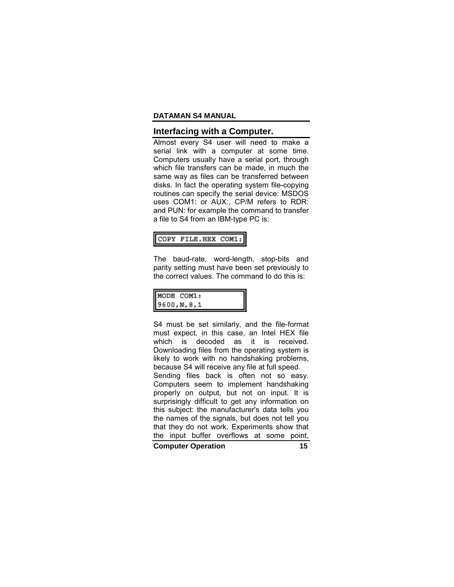### **Interfacing with a Computer.**

Almost every S4 user will need to make a serial link with a computer at some time. Computers usually have a serial port, through which file transfers can be made, in much the same way as files can be transferred between disks. In fact the operating system file-copying routines can specify the serial device: MSDOS uses COM1: or AUX:, CP/M refers to RDR: and PUN: for example the command to transfer a file to S4 from an IBM-type PC is:

### COPY FILE.HEX COM1:

The baud-rate, word-length, stop-bits and parity setting must have been set previously to the correct values. The command to do this is:

| MODE COM1:<br>9600, N, 8, 1 |  |
|-----------------------------|--|
|                             |  |

S4 must be set similarly, and the file-format must expect, in this case, an Intel HEX file which is decoded as it is received. Downloading files from the operating system is likely to work with no handshaking problems, because S4 will receive any file at full speed. Sending files back is often not so easy. Computers seem to implement handshaking properly on output, but not on input. It is surprisingly difficult to get any information on this subject: the manufacturer's data tells you the names of the signals, but does not tell you that they do not work. Experiments show that the input buffer overflows at some point,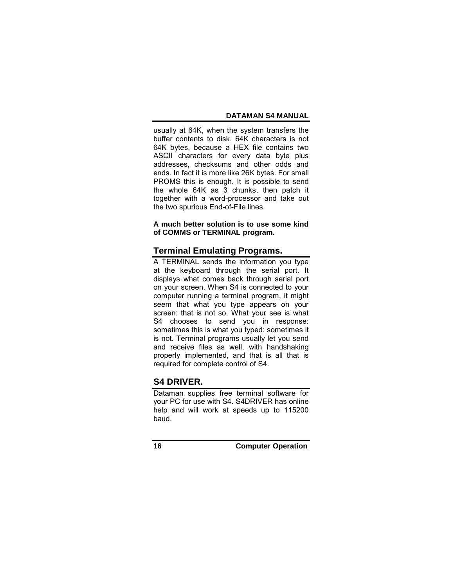usually at 64K, when the system transfers the buffer contents to disk. 64K characters is not 64K bytes, because a HEX file contains two ASCII characters for every data byte plus addresses, checksums and other odds and ends. In fact it is more like 26K bytes. For small PROMS this is enough. It is possible to send the whole 64K as 3 chunks, then patch it together with a word-processor and take out the two spurious End-of-File lines.

## **A much better solution is to use some kind of COMMS or TERMINAL program.**

# **Terminal Emulating Programs.**

A TERMINAL sends the information you type at the keyboard through the serial port. It displays what comes back through serial port on your screen. When S4 is connected to your computer running a terminal program, it might seem that what you type appears on your screen: that is not so. What your see is what S4 chooses to send you in response: sometimes this is what you typed: sometimes it is not. Terminal programs usually let you send and receive files as well, with handshaking properly implemented, and that is all that is required for complete control of S4.

# **S4 DRIVER.**

Dataman supplies free terminal software for your PC for use with S4. S4DRIVER has online help and will work at speeds up to 115200 baud.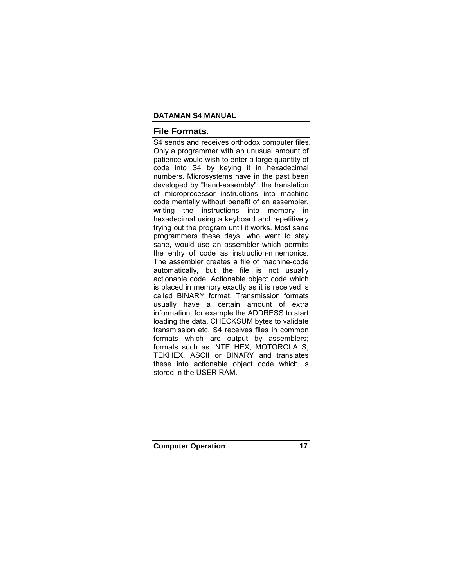# **File Formats.**

S4 sends and receives orthodox computer files. Only a programmer with an unusual amount of patience would wish to enter a large quantity of code into S4 by keying it in hexadecimal numbers. Microsystems have in the past been developed by "hand-assembly": the translation of microprocessor instructions into machine code mentally without benefit of an assembler, writing the instructions into memory in hexadecimal using a keyboard and repetitively trying out the program until it works. Most sane programmers these days, who want to stay sane, would use an assembler which permits the entry of code as instruction-mnemonics. The assembler creates a file of machine-code automatically, but the file is not usually actionable code. Actionable object code which is placed in memory exactly as it is received is called BINARY format. Transmission formats usually have a certain amount of extra information, for example the ADDRESS to start loading the data, CHECKSUM bytes to validate transmission etc. S4 receives files in common formats which are output by assemblers; formats such as INTELHEX, MOTOROLA S, TEKHEX, ASCII or BINARY and translates these into actionable object code which is stored in the USER RAM.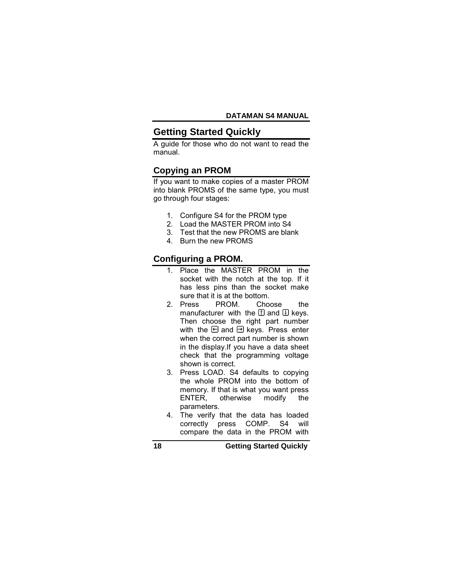# **Getting Started Quickly**

A guide for those who do not want to read the manual.

## **Copying an PROM**

If you want to make copies of a master PROM into blank PROMS of the same type, you must go through four stages:

- 1. Configure S4 for the PROM type
- 2. Load the MASTER PROM into S4
- 3. Test that the new PROMS are blank
- 4. Burn the new PROMS

# **Configuring a PROM.**

- 1. Place the MASTER PROM in the socket with the notch at the top. If it has less pins than the socket make sure that it is at the bottom.
- 2. Press PROM. Choose the manufacturer with the  $\mathbb I$  and  $\mathbb I$  keys. Then choose the right part number with the  $\boxdot$  and  $\boxdot$  keys. Press enter when the correct part number is shown in the display.If you have a data sheet check that the programming voltage shown is correct.
- 3. Press LOAD. S4 defaults to copying the whole PROM into the bottom of memory. If that is what you want press ENTER, otherwise modify the parameters.
- 4. The verify that the data has loaded correctly press COMP. S4 will compare the data in the PROM with

**18 Getting Started Quickly**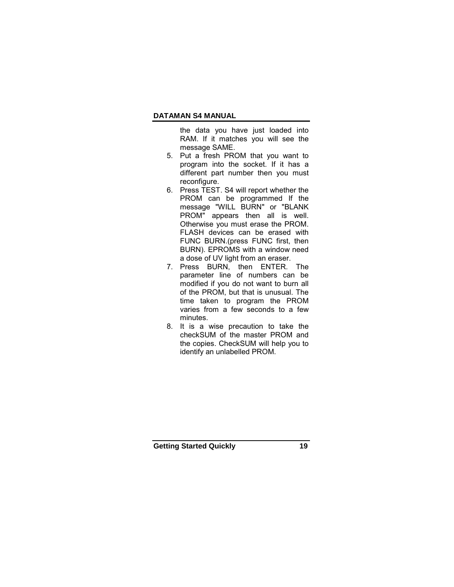the data you have just loaded into RAM. If it matches you will see the message SAME.

- 5. Put a fresh PROM that you want to program into the socket. If it has a different part number then you must reconfigure.
- 6. Press TEST. S4 will report whether the PROM can be programmed If the message "WILL BURN" or "BLANK PROM" appears then all is well. Otherwise you must erase the PROM. FLASH devices can be erased with FUNC BURN.(press FUNC first, then BURN). EPROMS with a window need a dose of UV light from an eraser.
- 7. Press BURN, then ENTER. The parameter line of numbers can be modified if you do not want to burn all of the PROM, but that is unusual. The time taken to program the PROM varies from a few seconds to a few minutes.
- 8. It is a wise precaution to take the checkSUM of the master PROM and the copies. CheckSUM will help you to identify an unlabelled PROM.

**Getting Started Quickly 19**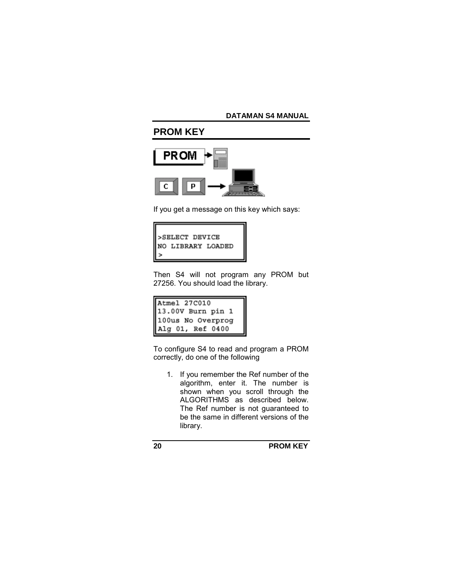# **PROM KEY**



If you get a message on this key which says:



Then S4 will not program any PROM but 27256. You should load the library.

| Atmel 27C010<br>13.00V Burn pin 1<br>100us No Overprog<br>Alg 01, Ref 0400 |  |
|----------------------------------------------------------------------------|--|
|                                                                            |  |
|                                                                            |  |
|                                                                            |  |

To configure S4 to read and program a PROM correctly, do one of the following

1. If you remember the Ref number of the algorithm, enter it. The number is shown when you scroll through the ALGORITHMS as described below. The Ref number is not guaranteed to be the same in different versions of the library.

**20 PROM KEY**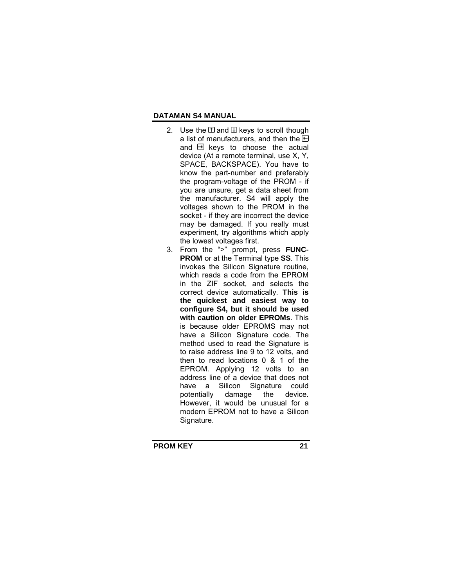- 2. Use the  $\Box$  and  $\Box$  keys to scroll though a list of manufacturers, and then the  $\boxdot$ and  $\boxminus$  keys to choose the actual device (At a remote terminal, use X, Y, SPACE, BACKSPACE). You have to know the part-number and preferably the program-voltage of the PROM - if you are unsure, get a data sheet from the manufacturer. S4 will apply the voltages shown to the PROM in the socket - if they are incorrect the device may be damaged. If you really must experiment, try algorithms which apply the lowest voltages first.
- 3. From the ">" prompt, press **FUNC-PROM** or at the Terminal type **SS**. This invokes the Silicon Signature routine, which reads a code from the EPROM in the ZIF socket, and selects the correct device automatically. **This is the quickest and easiest way to configure S4, but it should be used with caution on older EPROMs**. This is because older EPROMS may not have a Silicon Signature code. The method used to read the Signature is to raise address line 9 to 12 volts, and then to read locations 0 & 1 of the EPROM. Applying 12 volts to an address line of a device that does not have a Silicon Signature could<br>potentially damage the device. potentially damage the However, it would be unusual for a modern EPROM not to have a Silicon Signature.

**PROM KEY 21**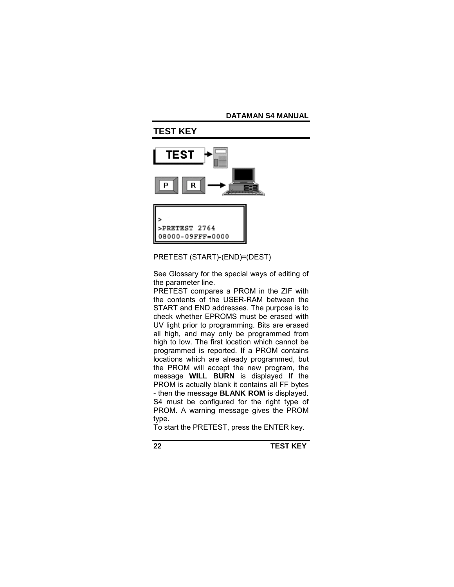

## PRETEST (START)-(END)=(DEST)

See Glossary for the special ways of editing of the parameter line.

PRETEST compares a PROM in the ZIF with the contents of the USER-RAM between the START and END addresses. The purpose is to check whether EPROMS must be erased with UV light prior to programming. Bits are erased all high, and may only be programmed from high to low. The first location which cannot be programmed is reported. If a PROM contains locations which are already programmed, but the PROM will accept the new program, the message **WILL BURN** is displayed If the PROM is actually blank it contains all FF bytes - then the message **BLANK ROM** is displayed. S4 must be configured for the right type of PROM. A warning message gives the PROM type.

To start the PRETEST, press the ENTER key.

**22 TEST KEY**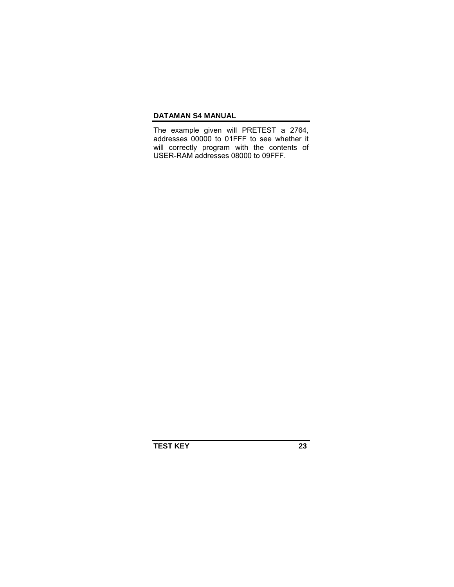The example given will PRETEST a 2764, addresses 00000 to 01FFF to see whether it will correctly program with the contents of USER-RAM addresses 08000 to 09FFF.

**TEST KEY 23**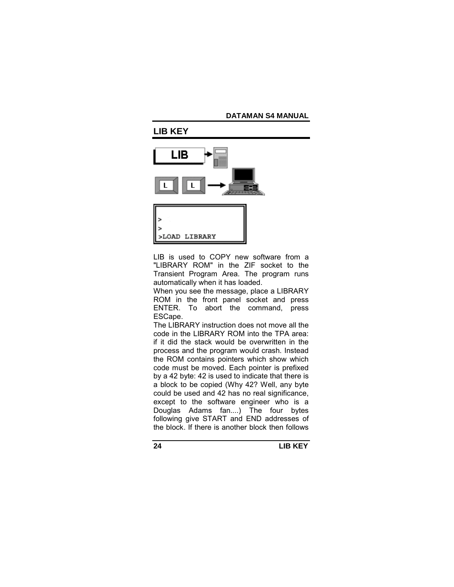

LIB is used to COPY new software from a "LIBRARY ROM" in the ZIF socket to the Transient Program Area. The program runs automatically when it has loaded.

When you see the message, place a LIBRARY ROM in the front panel socket and press ENTER. To abort the command, press ESCape.

The LIBRARY instruction does not move all the code in the LIBRARY ROM into the TPA area: if it did the stack would be overwritten in the process and the program would crash. Instead the ROM contains pointers which show which code must be moved. Each pointer is prefixed by a 42 byte: 42 is used to indicate that there is a block to be copied (Why 42? Well, any byte could be used and 42 has no real significance, except to the software engineer who is a Douglas Adams fan....) The four bytes following give START and END addresses of the block. If there is another block then follows

**24 LIB KEY**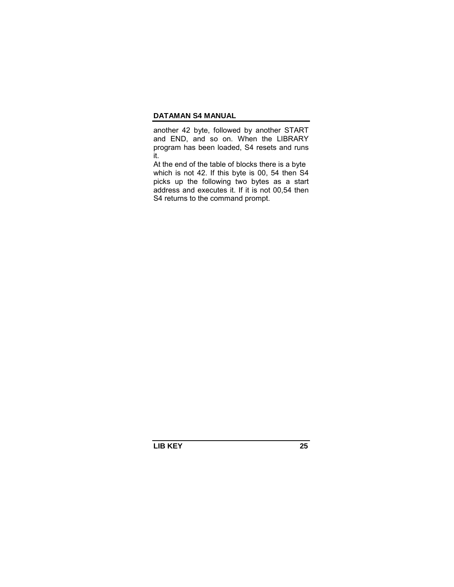another 42 byte, followed by another START and END, and so on. When the LIBRARY program has been loaded, S4 resets and runs it.

At the end of the table of blocks there is a byte which is not 42. If this byte is 00, 54 then S4 picks up the following two bytes as a start address and executes it. If it is not 00,54 then S4 returns to the command prompt.

**LIB KEY 25**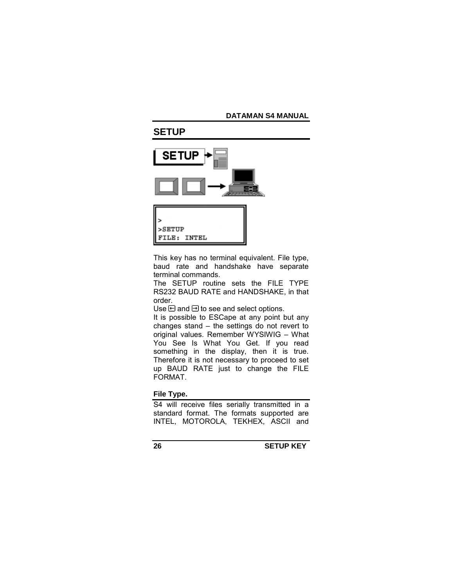# **SETUP**





This key has no terminal equivalent. File type, baud rate and handshake have separate terminal commands.

The SETUP routine sets the FILE TYPE RS232 BAUD RATE and HANDSHAKE, in that order.

Use  $\boxminus$  and  $\boxminus$  to see and select options.

It is possible to ESCape at any point but any changes stand  $-$  the settings do not revert to original values. Remember WYSIWIG - What You See Is What You Get. If you read something in the display, then it is true. Therefore it is not necessary to proceed to set up BAUD RATE just to change the FILE FORMAT.

**File Type.** 

S4 will receive files serially transmitted in a standard format. The formats supported are INTEL, MOTOROLA, TEKHEX, ASCII and

**26 SETUP KEY**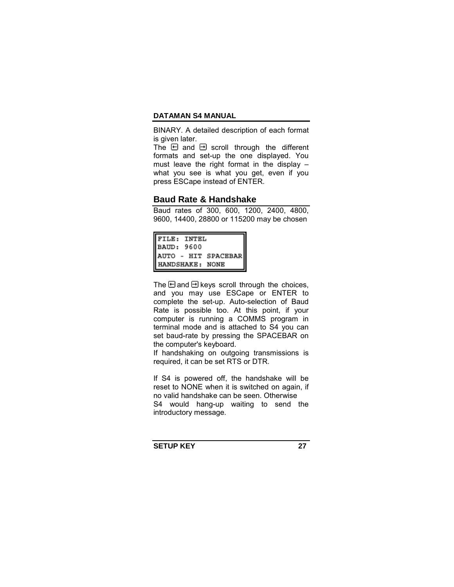BINARY. A detailed description of each format is given later.

The  $\boxdot$  and  $\boxdot$  scroll through the different formats and set-up the one displayed. You must leave the right format in the display  $$ what you see is what you get, even if you press ESCape instead of ENTER.

## **Baud Rate & Handshake**

Baud rates of 300, 600, 1200, 2400, 4800, 9600, 14400, 28800 or 115200 may be chosen

| FILE: INTEL         |  |
|---------------------|--|
| BAUD: 9600          |  |
| AUTO - HIT SPACEBAR |  |
| HANDSHAKE: NONE     |  |

The  $\boxminus$  and  $\boxminus$  keys scroll through the choices, and you may use ESCape or ENTER to complete the set-up. Auto-selection of Baud Rate is possible too. At this point, if your computer is running a COMMS program in terminal mode and is attached to S4 you can set baud-rate by pressing the SPACEBAR on the computer's keyboard.

If handshaking on outgoing transmissions is required, it can be set RTS or DTR.

If S4 is powered off, the handshake will be reset to NONE when it is switched on again, if no valid handshake can be seen. Otherwise S4 would hang-up waiting to send the introductory message.

**SETUP KEY 27**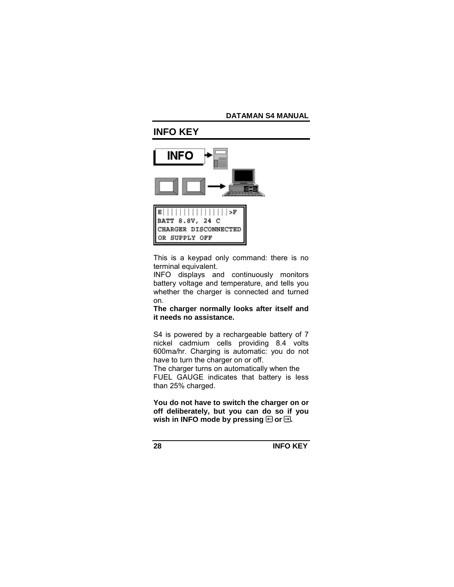# **INFO KEY**

OR SUPPLY OFF



This is a keypad only command: there is no terminal equivalent.

INFO displays and continuously monitors battery voltage and temperature, and tells you whether the charger is connected and turned on.

**The charger normally looks after itself and it needs no assistance.** 

S4 is powered by a rechargeable battery of 7 nickel cadmium cells providing 8.4 volts 600ma/hr. Charging is automatic: you do not have to turn the charger on or off.

The charger turns on automatically when the FUEL GAUGE indicates that battery is less than 25% charged.

**You do not have to switch the charger on or off deliberately, but you can do so if you**  wish in INFO mode by pressing  $\boxminus$  or  $\boxminus$ .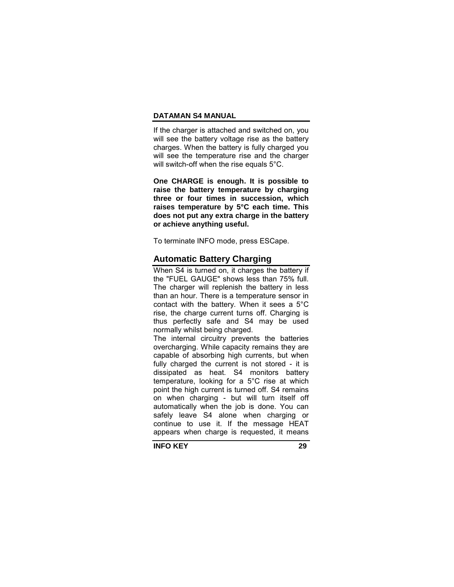If the charger is attached and switched on, you will see the battery voltage rise as the battery charges. When the battery is fully charged you will see the temperature rise and the charger will switch-off when the rise equals 5°C.

**One CHARGE is enough. It is possible to raise the battery temperature by charging three or four times in succession, which raises temperature by 5°C each time. This does not put any extra charge in the battery or achieve anything useful.** 

To terminate INFO mode, press ESCape.

# **Automatic Battery Charging**

When S4 is turned on, it charges the battery if the "FUEL GAUGE" shows less than 75% full. The charger will replenish the battery in less than an hour. There is a temperature sensor in contact with the battery. When it sees a 5°C rise, the charge current turns off. Charging is thus perfectly safe and S4 may be used normally whilst being charged.

The internal circuitry prevents the batteries overcharging. While capacity remains they are capable of absorbing high currents, but when fully charged the current is not stored - it is dissipated as heat. S4 monitors battery temperature, looking for a 5°C rise at which point the high current is turned off. S4 remains on when charging - but will turn itself off automatically when the job is done. You can safely leave S4 alone when charging or continue to use it. If the message HEAT appears when charge is requested, it means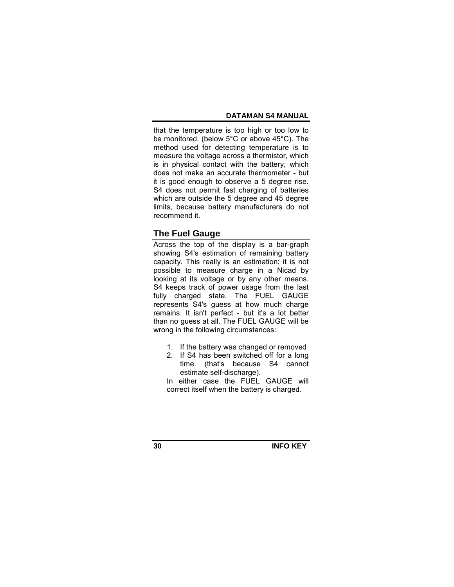that the temperature is too high or too low to be monitored. (below 5°C or above 45°C). The method used for detecting temperature is to measure the voltage across a thermistor, which is in physical contact with the battery, which does not make an accurate thermometer - but it is good enough to observe a 5 degree rise. S4 does not permit fast charging of batteries which are outside the 5 degree and 45 degree limits, because battery manufacturers do not recommend it.

# **The Fuel Gauge**

Across the top of the display is a bar-graph showing S4's estimation of remaining battery capacity. This really is an estimation: it is not possible to measure charge in a Nicad by looking at its voltage or by any other means. S4 keeps track of power usage from the last fully charged state. The FUEL GAUGE represents S4's guess at how much charge remains. It isn't perfect - but it's a lot better than no guess at all. The FUEL GAUGE will be wrong in the following circumstances:

- 1. If the battery was changed or removed
- 2. If S4 has been switched off for a long time. (that's because S4 cannot estimate self-discharge).

In either case the FUEL GAUGE will correct itself when the battery is charged.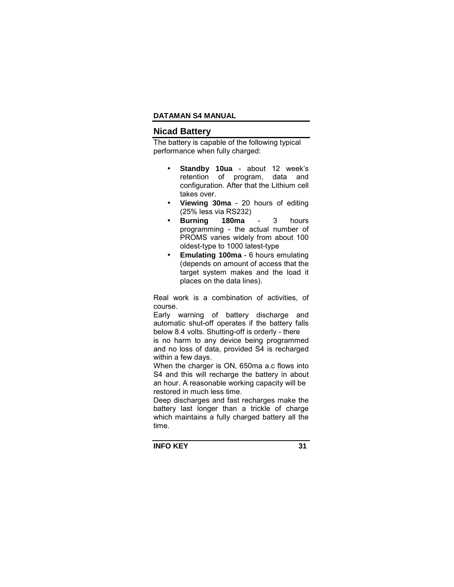## **Nicad Battery**

The battery is capable of the following typical performance when fully charged:

- **Standby 10ua** about 12 weekís retention of program, data and configuration. After that the Lithium cell takes over.
- **Viewing 30ma** 20 hours of editing (25% less via RS232)
- **Burning 180ma** 3 hours programming - the actual number of PROMS varies widely from about 100 oldest-type to 1000 latest-type
- **Emulating 100ma** 6 hours emulating (depends on amount of access that the target system makes and the load it places on the data lines).

Real work is a combination of activities, of course.

Early warning of battery discharge and automatic shut-off operates if the battery falls below 8.4 volts. Shutting-off is orderly - there is no harm to any device being programmed

and no loss of data, provided S4 is recharged within a few days.

When the charger is ON, 650ma a.c flows into S4 and this will recharge the battery in about an hour. A reasonable working capacity will be restored in much less time.

Deep discharges and fast recharges make the battery last longer than a trickle of charge which maintains a fully charged battery all the time.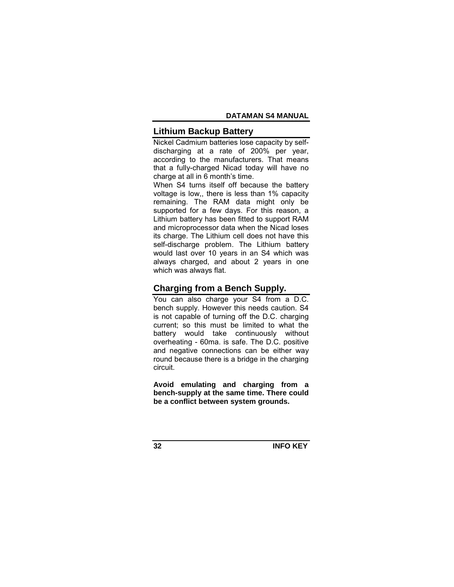# **Lithium Backup Battery**

Nickel Cadmium batteries lose capacity by selfdischarging at a rate of 200% per year, according to the manufacturers. That means that a fully-charged Nicad today will have no charge at all in 6 month's time.

When S4 turns itself off because the battery voltage is low,, there is less than 1% capacity remaining. The RAM data might only be supported for a few days. For this reason, a Lithium battery has been fitted to support RAM and microprocessor data when the Nicad loses its charge. The Lithium cell does not have this self-discharge problem. The Lithium battery would last over 10 years in an S4 which was always charged, and about 2 years in one which was always flat.

# **Charging from a Bench Supply.**

You can also charge your S4 from a D.C. bench supply. However this needs caution. S4 is not capable of turning off the D.C. charging current; so this must be limited to what the battery would take continuously without overheating - 60ma. is safe. The D.C. positive and negative connections can be either way round because there is a bridge in the charging circuit.

**Avoid emulating and charging from a bench-supply at the same time. There could be a conflict between system grounds.**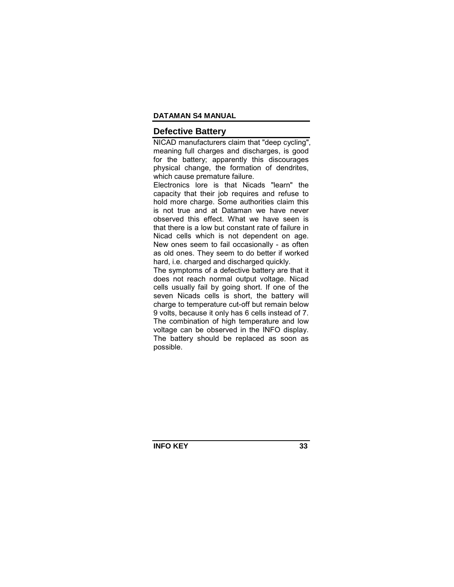### **Defective Battery**

NICAD manufacturers claim that "deep cycling", meaning full charges and discharges, is good for the battery; apparently this discourages physical change, the formation of dendrites, which cause premature failure.

Electronics lore is that Nicads "learn" the capacity that their job requires and refuse to hold more charge. Some authorities claim this is not true and at Dataman we have never observed this effect. What we have seen is that there is a low but constant rate of failure in Nicad cells which is not dependent on age. New ones seem to fail occasionally - as often as old ones. They seem to do better if worked hard, i.e. charged and discharged quickly.

The symptoms of a defective battery are that it does not reach normal output voltage. Nicad cells usually fail by going short. If one of the seven Nicads cells is short, the battery will charge to temperature cut-off but remain below 9 volts, because it only has 6 cells instead of 7. The combination of high temperature and low voltage can be observed in the INFO display. The battery should be replaced as soon as possible.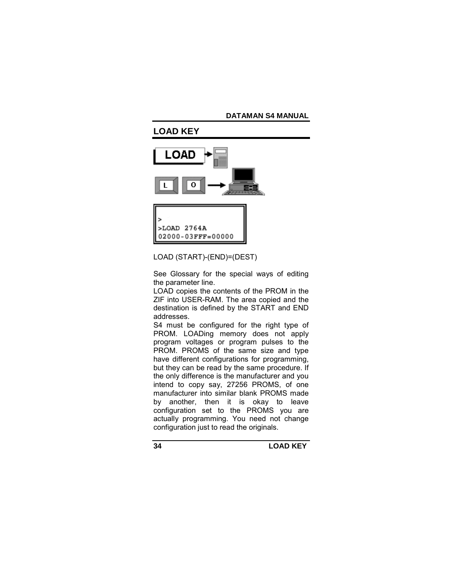

LOAD (START)-(END)=(DEST)

See Glossary for the special ways of editing the parameter line.

LOAD copies the contents of the PROM in the ZIF into USER-RAM. The area copied and the destination is defined by the START and END addresses.

S4 must be configured for the right type of PROM. LOADing memory does not apply program voltages or program pulses to the PROM. PROMS of the same size and type have different configurations for programming, but they can be read by the same procedure. If the only difference is the manufacturer and you intend to copy say, 27256 PROMS, of one manufacturer into similar blank PROMS made by another, then it is okay to leave configuration set to the PROMS you are actually programming. You need not change configuration just to read the originals.

**34 LOAD KEY**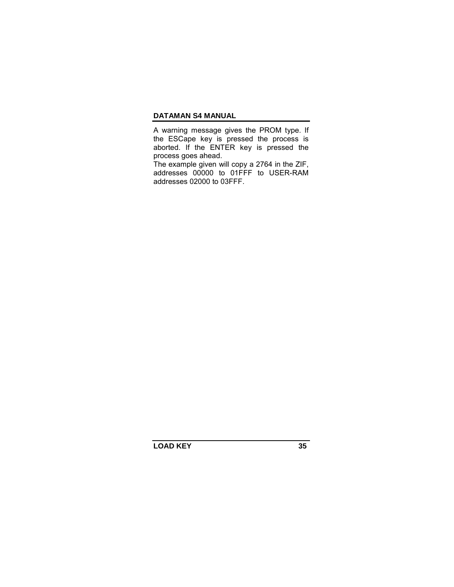A warning message gives the PROM type. If the ESCape key is pressed the process is aborted. If the ENTER key is pressed the process goes ahead.

The example given will copy a 2764 in the ZIF, addresses 00000 to 01FFF to USER-RAM addresses 02000 to 03FFF.

**LOAD KEY 35**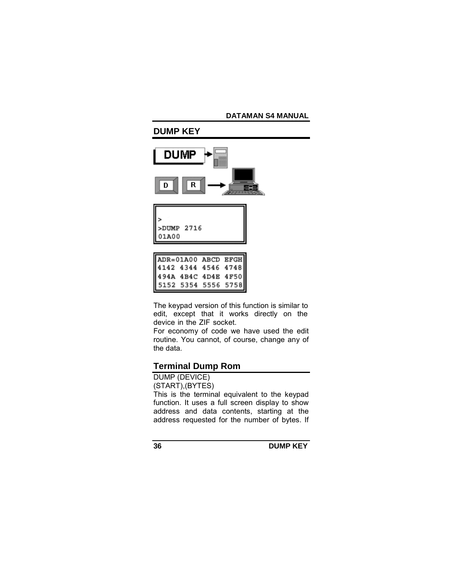

The keypad version of this function is similar to edit, except that it works directly on the device in the ZIF socket.

For economy of code we have used the edit routine. You cannot, of course, change any of the data.

# **Terminal Dump Rom**

DUMP (DEVICE)

(START),(BYTES)

This is the terminal equivalent to the keypad function. It uses a full screen display to show address and data contents, starting at the address requested for the number of bytes. If

**36 DUMP KEY**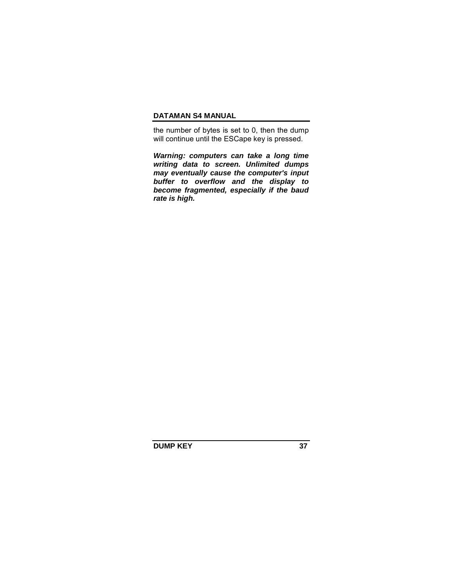the number of bytes is set to 0, then the dump will continue until the ESCape key is pressed.

*Warning: computers can take a long time writing data to screen. Unlimited dumps may eventually cause the computer's input buffer to overflow and the display to become fragmented, especially if the baud rate is high.* 

**DUMP KEY** 37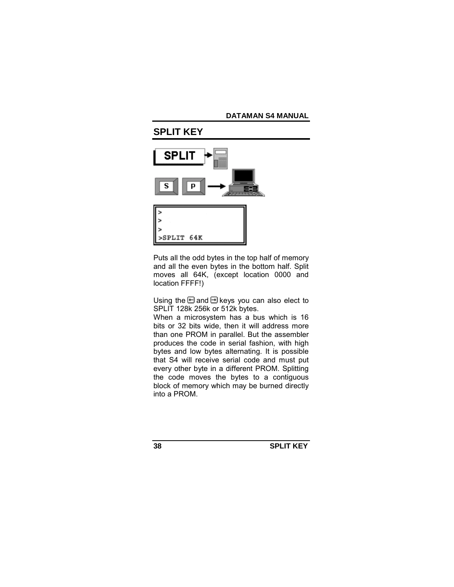

Puts all the odd bytes in the top half of memory and all the even bytes in the bottom half. Split moves all 64K, (except location 0000 and location FFFF!)

Using the  $\boxminus$  and  $\boxminus$  keys you can also elect to SPLIT 128k 256k or 512k bytes.

When a microsystem has a bus which is 16 bits or 32 bits wide, then it will address more than one PROM in parallel. But the assembler produces the code in serial fashion, with high bytes and low bytes alternating. It is possible that S4 will receive serial code and must put every other byte in a different PROM. Splitting the code moves the bytes to a contiguous block of memory which may be burned directly into a PROM.

**38 SPLIT KEY**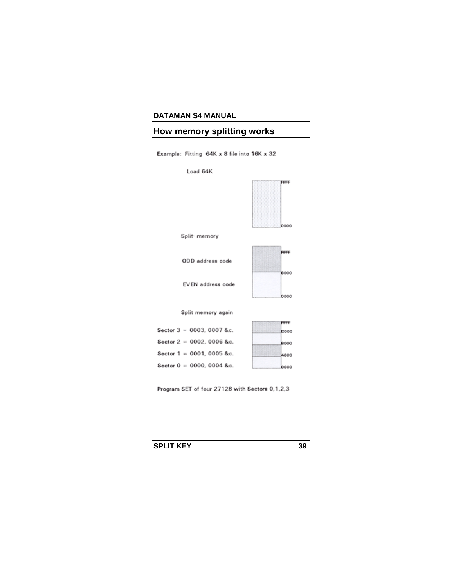# **How memory splitting works**

Example: Fitting 64K x 8 file into 16K x 32



Program SET of four 27128 with Sectors 0,1,2,3

**SPLIT KEY** 39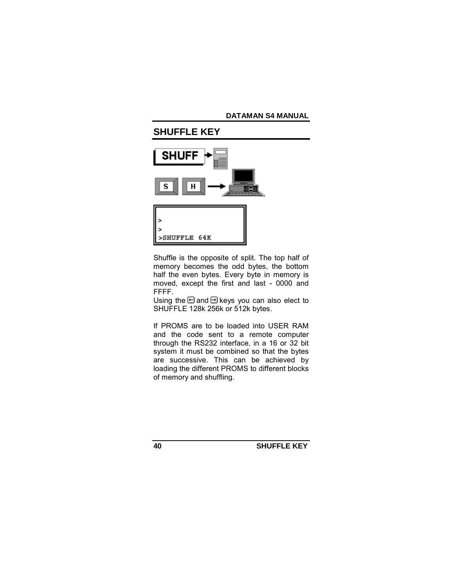

Shuffle is the opposite of split. The top half of memory becomes the odd bytes, the bottom half the even bytes. Every byte in memory is moved, except the first and last - 0000 and FFFF.

Using the  $\boxminus$  and  $\boxminus$  keys you can also elect to SHUFFLE 128k 256k or 512k bytes.

If PROMS are to be loaded into USER RAM and the code sent to a remote computer through the RS232 interface, in a 16 or 32 bit system it must be combined so that the bytes are successive. This can be achieved by loading the different PROMS to different blocks of memory and shuffling.

**40 SHUFFLE KEY**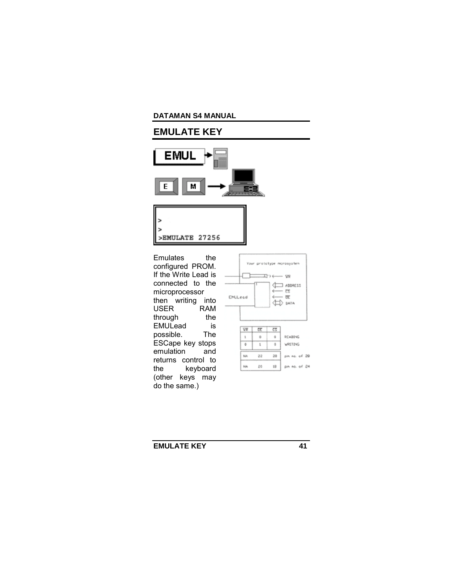# **EMULATE KEY**





Emulates the configured PROM. If the Write Lead is connected to the microprocessor then writing into<br>USER RAM **USER** through the EMULead is<br>possible. The possible. ESCape key stops<br>emulation and emulation returns control to the keyboard (other keys may do the same.)



**EMULATE KEY** 41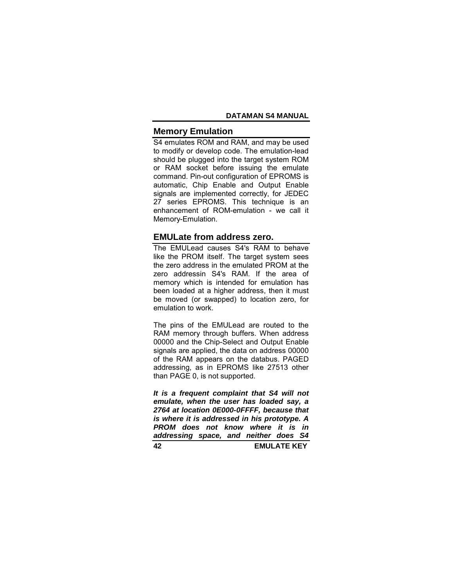# **Memory Emulation**

S4 emulates ROM and RAM, and may be used to modify or develop code. The emulation-lead should be plugged into the target system ROM or RAM socket before issuing the emulate command. Pin-out configuration of EPROMS is automatic, Chip Enable and Output Enable signals are implemented correctly, for JEDEC 27 series EPROMS. This technique is an enhancement of ROM-emulation - we call it Memory-Emulation.

# **EMULate from address zero.**

The EMULead causes S4's RAM to behave like the PROM itself. The target system sees the zero address in the emulated PROM at the zero addressin S4's RAM. If the area of memory which is intended for emulation has been loaded at a higher address, then it must be moved (or swapped) to location zero, for emulation to work.

The pins of the EMULead are routed to the RAM memory through buffers. When address 00000 and the Chip-Select and Output Enable signals are applied, the data on address 00000 of the RAM appears on the databus. PAGED addressing, as in EPROMS like 27513 other than PAGE 0, is not supported.

*It is a frequent complaint that S4 will not emulate, when the user has loaded say, a 2764 at location 0E000-0FFFF, because that is where it is addressed in his prototype. A PROM does not know where it is in addressing space, and neither does S4* 

**42 EMULATE KEY**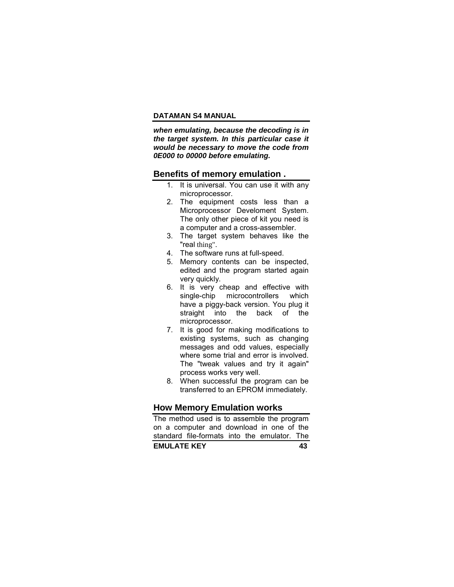*when emulating, because the decoding is in the target system. In this particular case it would be necessary to move the code from 0E000 to 00000 before emulating.* 

#### **Benefits of memory emulation .**

- 1. It is universal. You can use it with any microprocessor.
- 2. The equipment costs less than a Microprocessor Develoment System. The only other piece of kit you need is a computer and a cross-assembler.
- 3. The target system behaves like the "real thing".
- 4. The software runs at full-speed.
- 5. Memory contents can be inspected, edited and the program started again very quickly.
- 6. It is very cheap and effective with single-chip microcontrollers which have a piggy-back version. You plug it straight into the back of the microprocessor.
- 7. It is good for making modifications to existing systems, such as changing messages and odd values, especially where some trial and error is involved. The "tweak values and try it again" process works very well.
- 8. When successful the program can be transferred to an EPROM immediately.

# **How Memory Emulation works**

**EMULATE KEY 43** The method used is to assemble the program on a computer and download in one of the standard file-formats into the emulator. The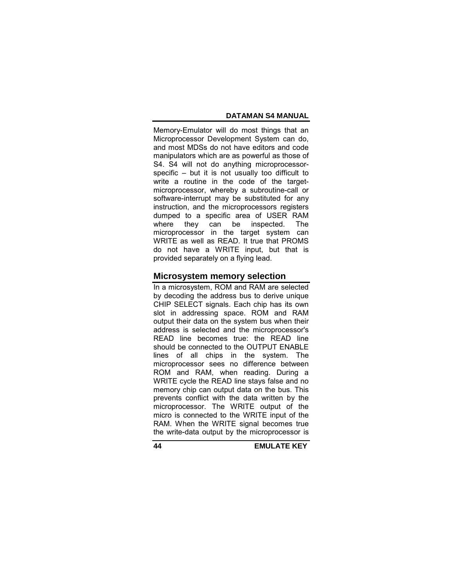Memory-Emulator will do most things that an Microprocessor Development System can do, and most MDSs do not have editors and code manipulators which are as powerful as those of S4. S4 will not do anything microprocessorspecific  $-$  but it is not usually too difficult to write a routine in the code of the targetmicroprocessor, whereby a subroutine-call or software-interrupt may be substituted for any instruction, and the microprocessors registers dumped to a specific area of USER RAM<br>where they can be inspected. The where they can be inspected. The microprocessor in the target system can WRITE as well as READ. It true that PROMS do not have a WRITE input, but that is provided separately on a flying lead.

# **Microsystem memory selection**

In a microsystem, ROM and RAM are selected by decoding the address bus to derive unique CHIP SELECT signals. Each chip has its own slot in addressing space. ROM and RAM output their data on the system bus when their address is selected and the microprocessor's READ line becomes true: the READ line should be connected to the OUTPUT ENABLE lines of all chips in the system. The microprocessor sees no difference between ROM and RAM, when reading. During a WRITE cycle the READ line stays false and no memory chip can output data on the bus. This prevents conflict with the data written by the microprocessor. The WRITE output of the micro is connected to the WRITE input of the RAM. When the WRITE signal becomes true the write-data output by the microprocessor is

**44 EMULATE KEY**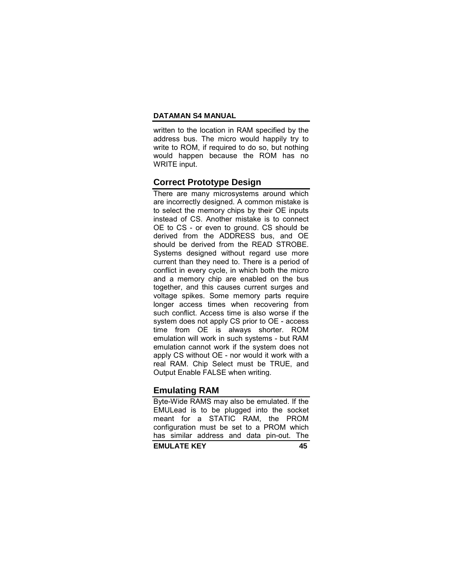written to the location in RAM specified by the address bus. The micro would happily try to write to ROM, if required to do so, but nothing would happen because the ROM has no WRITE input.

# **Correct Prototype Design**

There are many microsystems around which are incorrectly designed. A common mistake is to select the memory chips by their OE inputs instead of CS. Another mistake is to connect OE to CS - or even to ground. CS should be derived from the ADDRESS bus, and OE should be derived from the READ STROBE. Systems designed without regard use more current than they need to. There is a period of conflict in every cycle, in which both the micro and a memory chip are enabled on the bus together, and this causes current surges and voltage spikes. Some memory parts require longer access times when recovering from such conflict. Access time is also worse if the system does not apply CS prior to OE - access time from OE is always shorter. ROM emulation will work in such systems - but RAM emulation cannot work if the system does not apply CS without OE - nor would it work with a real RAM. Chip Select must be TRUE, and Output Enable FALSE when writing.

# **Emulating RAM**

**EMULATE KEY 45** Byte-Wide RAMS may also be emulated. If the EMULead is to be plugged into the socket meant for a STATIC RAM, the PROM configuration must be set to a PROM which has similar address and data pin-out. The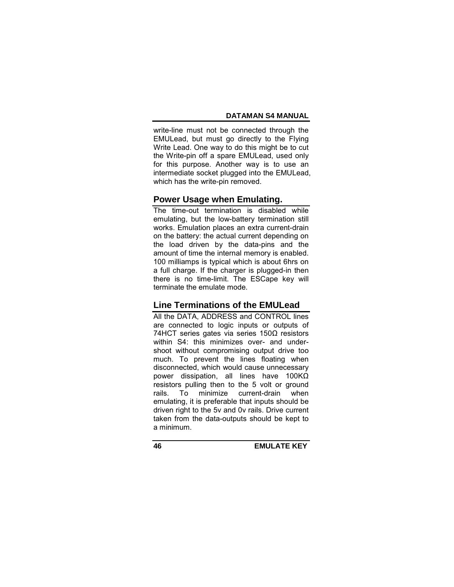write-line must not be connected through the EMULead, but must go directly to the Flying Write Lead. One way to do this might be to cut the Write-pin off a spare EMULead, used only for this purpose. Another way is to use an intermediate socket plugged into the EMULead, which has the write-pin removed.

# **Power Usage when Emulating.**

The time-out termination is disabled while emulating, but the low-battery termination still works. Emulation places an extra current-drain on the battery: the actual current depending on the load driven by the data-pins and the amount of time the internal memory is enabled. 100 milliamps is typical which is about 6hrs on a full charge. If the charger is plugged-in then there is no time-limit. The ESCape key will terminate the emulate mode.

# **Line Terminations of the EMULead**

All the DATA, ADDRESS and CONTROL lines are connected to logic inputs or outputs of 74HCT series gates via series 150Ω resistors within S4: this minimizes over- and undershoot without compromising output drive too much. To prevent the lines floating when disconnected, which would cause unnecessary power dissipation, all lines have 100KΩ resistors pulling then to the 5 volt or ground rails. To minimize current-drain when emulating, it is preferable that inputs should be driven right to the 5v and 0v rails. Drive current taken from the data-outputs should be kept to a minimum.

**46 EMULATE KEY**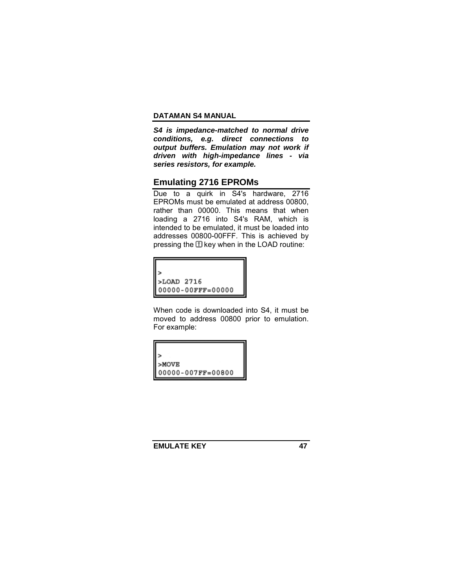*S4 is impedance-matched to normal drive conditions, e.g. direct connections to output buffers. Emulation may not work if driven with high-impedance lines - via series resistors, for example.* 

# **Emulating 2716 EPROMs**

Due to a quirk in S4's hardware, 2716 EPROMs must be emulated at address 00800, rather than 00000. This means that when loading a 2716 into S4's RAM, which is intended to be emulated, it must be loaded into addresses 00800-00FFF. This is achieved by pressing the  $\Box$  key when in the LOAD routine:



When code is downloaded into S4, it must be moved to address 00800 prior to emulation. For example:



**EMULATE KEY** 47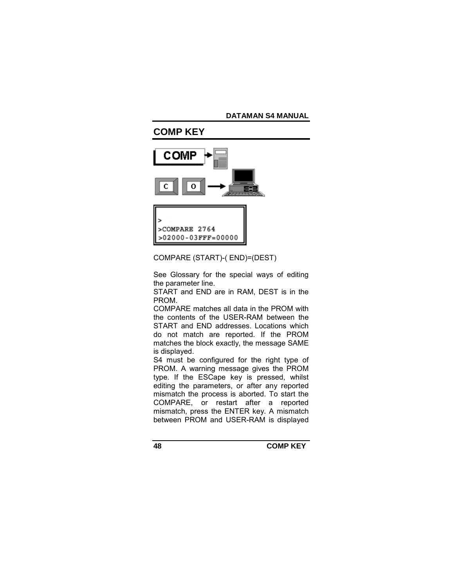# **COMP KEY COMP** 0 >COMPARE 2764  $>02000 - 03$ FFF=00000

# COMPARE (START)-( END)=(DEST)

See Glossary for the special ways of editing the parameter line.

START and END are in RAM, DEST is in the PROM.

COMPARE matches all data in the PROM with the contents of the USER-RAM between the START and END addresses. Locations which do not match are reported. If the PROM matches the block exactly, the message SAME is displayed.

S4 must be configured for the right type of PROM. A warning message gives the PROM type. If the ESCape key is pressed, whilst editing the parameters, or after any reported mismatch the process is aborted. To start the COMPARE, or restart after a reported mismatch, press the ENTER key. A mismatch between PROM and USER-RAM is displayed

**48 COMP KEY**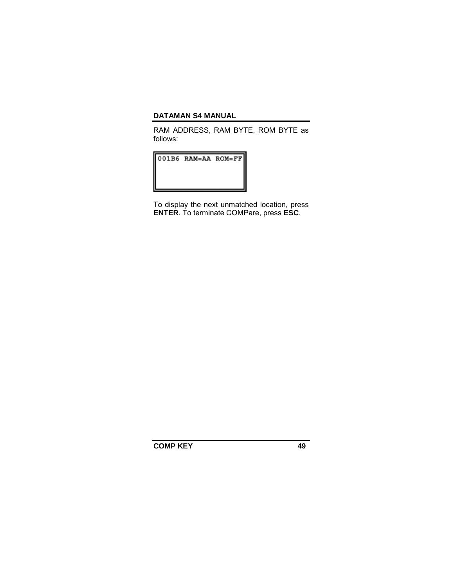RAM ADDRESS, RAM BYTE, ROM BYTE as follows:

001B6 RAM=AA ROM=FF

To display the next unmatched location, press **ENTER**. To terminate COMPare, press **ESC**.

**COMP KEY 49**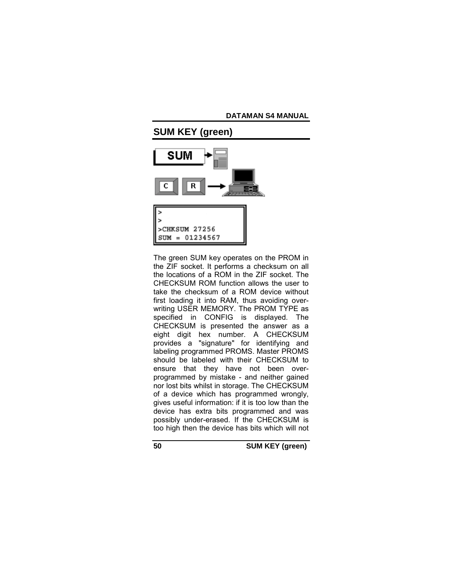

The green SUM key operates on the PROM in the ZIF socket. It performs a checksum on all the locations of a ROM in the ZIF socket. The CHECKSUM ROM function allows the user to take the checksum of a ROM device without first loading it into RAM, thus avoiding overwriting USER MEMORY. The PROM TYPE as specified in CONFIG is displayed. The CHECKSUM is presented the answer as a eight digit hex number. A CHECKSUM provides a "signature" for identifying and labeling programmed PROMS. Master PROMS should be labeled with their CHECKSUM to ensure that they have not been overprogrammed by mistake - and neither gained nor lost bits whilst in storage. The CHECKSUM of a device which has programmed wrongly, gives useful information: if it is too low than the device has extra bits programmed and was possibly under-erased. If the CHECKSUM is too high then the device has bits which will not

**50 SUM KEY (green)**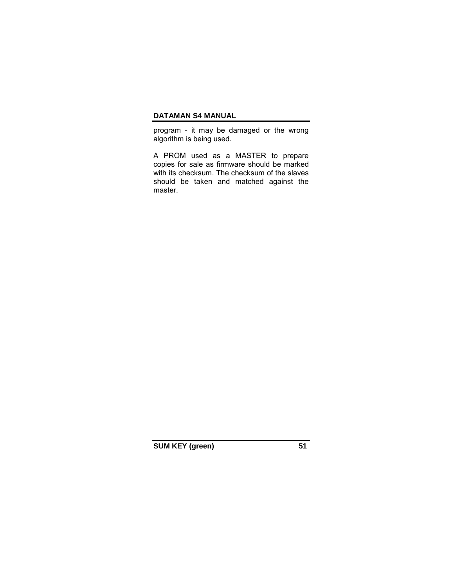program - it may be damaged or the wrong algorithm is being used.

A PROM used as a MASTER to prepare copies for sale as firmware should be marked with its checksum. The checksum of the slaves should be taken and matched against the master.

SUM KEY (green) 51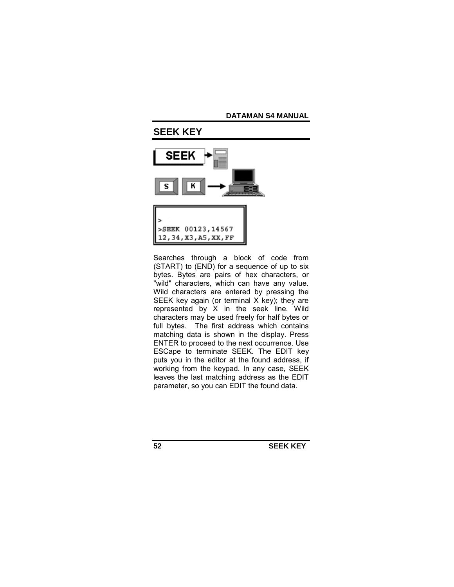

Searches through a block of code from (START) to (END) for a sequence of up to six bytes. Bytes are pairs of hex characters, or "wild" characters, which can have any value. Wild characters are entered by pressing the SEEK key again (or terminal X key); they are represented by  $X$  in the seek line. Wild characters may be used freely for half bytes or full bytes. The first address which contains matching data is shown in the display. Press ENTER to proceed to the next occurrence. Use ESCape to terminate SEEK. The EDIT key puts you in the editor at the found address, if working from the keypad. In any case, SEEK leaves the last matching address as the EDIT parameter, so you can EDIT the found data.

**52 SEEK KEY**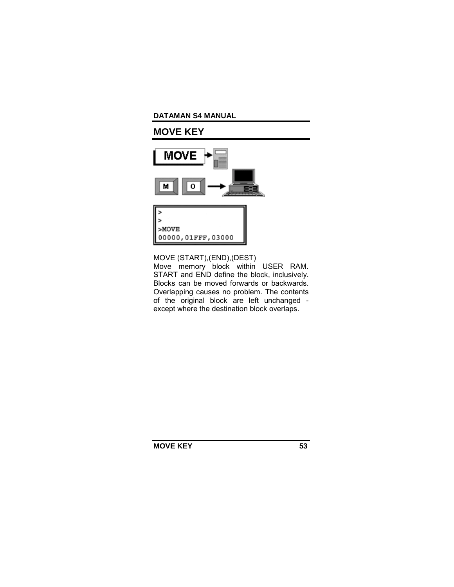# **MOVE KEY**





MOVE (START),(END),(DEST) Move memory block within USER RAM. START and END define the block, inclusively. Blocks can be moved forwards or backwards. Overlapping causes no problem. The contents of the original block are left unchanged except where the destination block overlaps.

**MOVE KEY** 53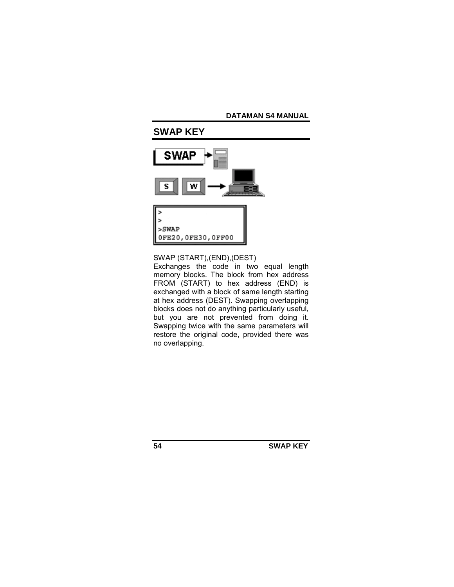

SWAP (START),(END),(DEST)

Exchanges the code in two equal length memory blocks. The block from hex address FROM (START) to hex address (END) is exchanged with a block of same length starting at hex address (DEST). Swapping overlapping blocks does not do anything particularly useful, but you are not prevented from doing it. Swapping twice with the same parameters will restore the original code, provided there was no overlapping.

**54 SWAP KEY**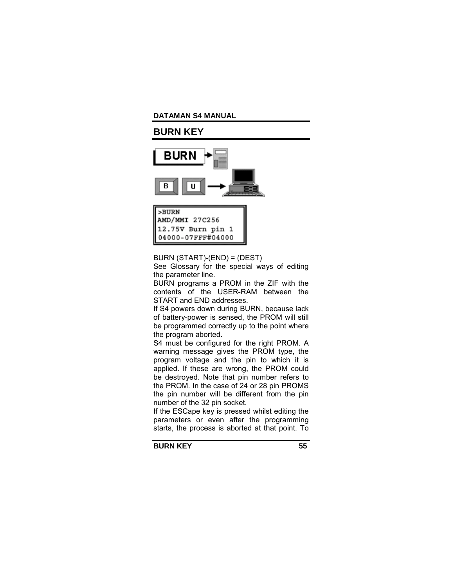# **BURN KEY**



| >BURN<br>AMD/MMI 27C256                |
|----------------------------------------|
| 12.75V Burn pin 1<br>04000-07FFF#04000 |

BURN (START)-(END) = (DEST)

See Glossary for the special ways of editing the parameter line.

BURN programs a PROM in the ZIF with the contents of the USER-RAM between the START and END addresses.

If S4 powers down during BURN, because lack of battery-power is sensed, the PROM will still be programmed correctly up to the point where the program aborted.

S4 must be configured for the right PROM. A warning message gives the PROM type, the program voltage and the pin to which it is applied. If these are wrong, the PROM could be destroyed. Note that pin number refers to the PROM. In the case of 24 or 28 pin PROMS the pin number will be different from the pin number of the 32 pin socket.

If the ESCape key is pressed whilst editing the parameters or even after the programming starts, the process is aborted at that point. To

**BURN KEY 55**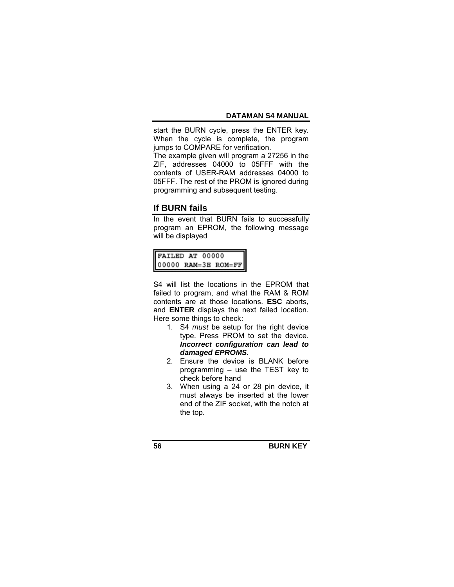start the BURN cycle, press the ENTER key. When the cycle is complete, the program jumps to COMPARE for verification.

The example given will program a 27256 in the ZIF, addresses 04000 to 05FFF with the contents of USER-RAM addresses 04000 to 05FFF. The rest of the PROM is ignored during programming and subsequent testing.

# **If BURN fails**

In the event that BURN fails to successfully program an EPROM, the following message will be displayed

|  | $\begin{tabular}{ l l } \hline \texttt{FAILED AT} \hspace{0.08in}00000 \\ \hline 00000 \hspace{0.18in} \texttt{RAM=3E} \hspace{0.18in} \texttt{ROM=FF} \end{tabular}$ |
|--|-----------------------------------------------------------------------------------------------------------------------------------------------------------------------|

S4 will list the locations in the EPROM that failed to program, and what the RAM & ROM contents are at those locations. **ESC** aborts, and **ENTER** displays the next failed location. Here some things to check:

- 1. S4 *must* be setup for the right device type. Press PROM to set the device. *Incorrect configuration can lead to damaged EPROMS.*
- 2. Ensure the device is BLANK before programming  $-$  use the TEST key to check before hand
- 3. When using a 24 or 28 pin device, it must always be inserted at the lower end of the ZIF socket, with the notch at the top.

**56 BURN KEY**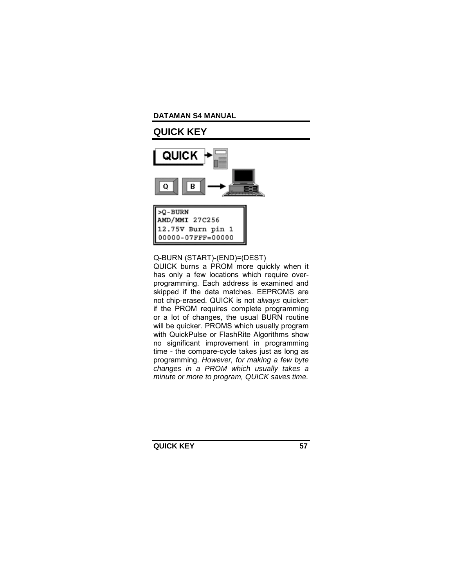# **QUICK KEY**



 $>0$  - BURN AMD/MMI 27C256 12.75V Burn pin 1 00000-07FFF=00000

Q-BURN (START)-(END)=(DEST) QUICK burns a PROM more quickly when it has only a few locations which require overprogramming. Each address is examined and skipped if the data matches. EEPROMS are not chip-erased. QUICK is not *always* quicker: if the PROM requires complete programming or a lot of changes, the usual BURN routine will be quicker. PROMS which usually program with QuickPulse or FlashRite Algorithms show no significant improvement in programming time - the compare-cycle takes just as long as programming. *However, for making a few byte changes in a PROM which usually takes a minute or more to program, QUICK saves time.* 

**QUICK KEY 57**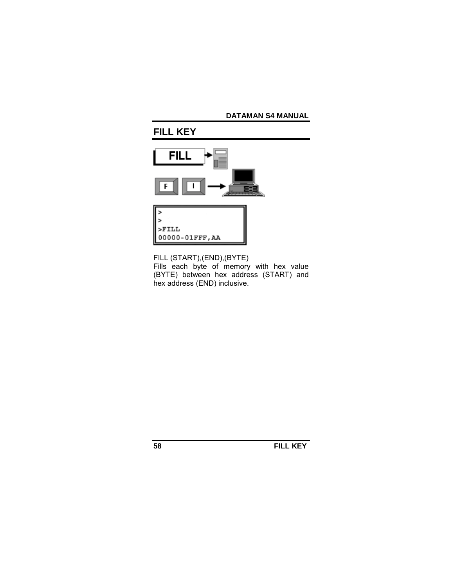# **FILL KEY**





FILL (START),(END),(BYTE) Fills each byte of memory with hex value (BYTE) between hex address (START) and hex address (END) inclusive.

**58 FILL KEY**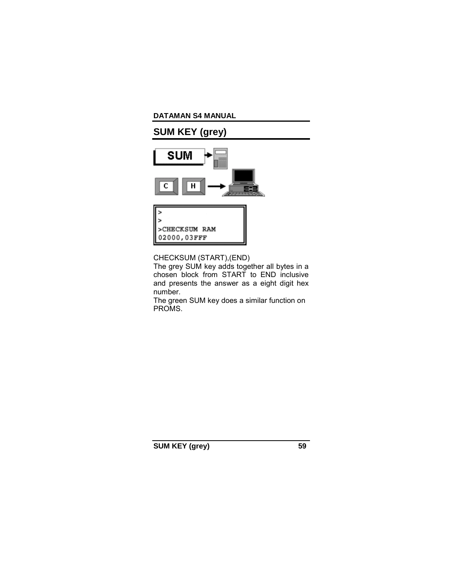# **SUM KEY (grey)**





CHECKSUM (START),(END)

The grey SUM key adds together all bytes in a chosen block from START to END inclusive and presents the answer as a eight digit hex number.

The green SUM key does a similar function on PROMS.

**SUM KEY (grey) 59**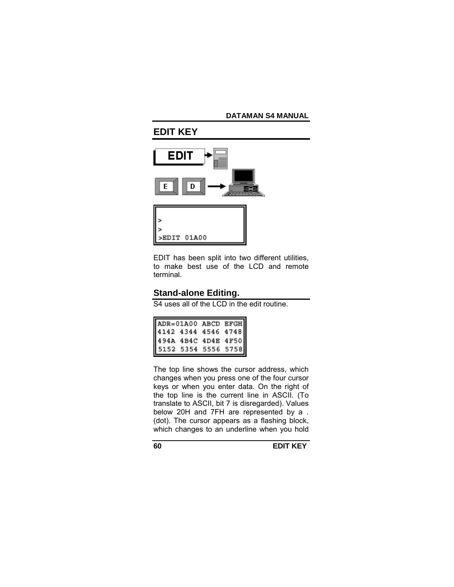# **EDIT KEY**





EDIT has been split into two different utilities, to make best use of the LCD and remote terminal.

# **Stand-alone Editing.**

S4 uses all of the LCD in the edit routine.

| ADR=01A00 ABCD EFGH<br>4142 4344 4546 4748<br>494A 4B4C 4D4E 4F50<br>5152 5354 5556 5758 |  |  |
|------------------------------------------------------------------------------------------|--|--|
|                                                                                          |  |  |
|                                                                                          |  |  |
|                                                                                          |  |  |

The top line shows the cursor address, which changes when you press one of the four cursor keys or when you enter data. On the right of the top line is the current line in ASCII. (To translate to ASCII, bit 7 is disregarded). Values below 20H and 7FH are represented by a . (dot). The cursor appears as a flashing block, which changes to an underline when you hold

**60 EDIT KEY**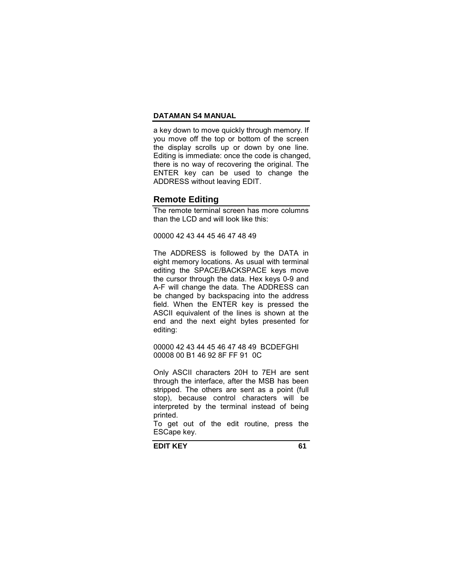a key down to move quickly through memory. If you move off the top or bottom of the screen the display scrolls up or down by one line. Editing is immediate: once the code is changed, there is no way of recovering the original. The ENTER key can be used to change the ADDRESS without leaving EDIT.

# **Remote Editing**

The remote terminal screen has more columns than the LCD and will look like this:

00000 42 43 44 45 46 47 48 49

The ADDRESS is followed by the DATA in eight memory locations. As usual with terminal editing the SPACE/BACKSPACE keys move the cursor through the data. Hex keys 0-9 and A-F will change the data. The ADDRESS can be changed by backspacing into the address field. When the ENTER key is pressed the ASCII equivalent of the lines is shown at the end and the next eight bytes presented for editing:

00000 42 43 44 45 46 47 48 49 BCDEFGHI 00008 00 B1 46 92 8F FF 91 0C

Only ASCII characters 20H to 7EH are sent through the interface, after the MSB has been stripped. The others are sent as a point (full stop), because control characters will be interpreted by the terminal instead of being printed.

To get out of the edit routine, press the ESCape key.

**EDIT KEY** 61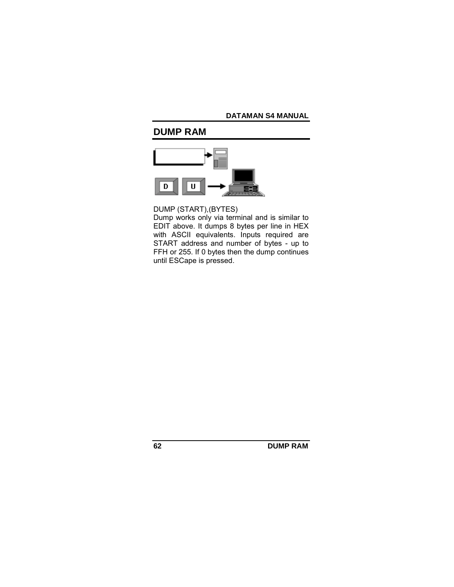# **DUMP RAM**



DUMP (START),(BYTES)

Dump works only via terminal and is similar to EDIT above. It dumps 8 bytes per line in HEX with ASCII equivalents. Inputs required are START address and number of bytes - up to FFH or 255. If 0 bytes then the dump continues until ESCape is pressed.

**62 DUMP RAM**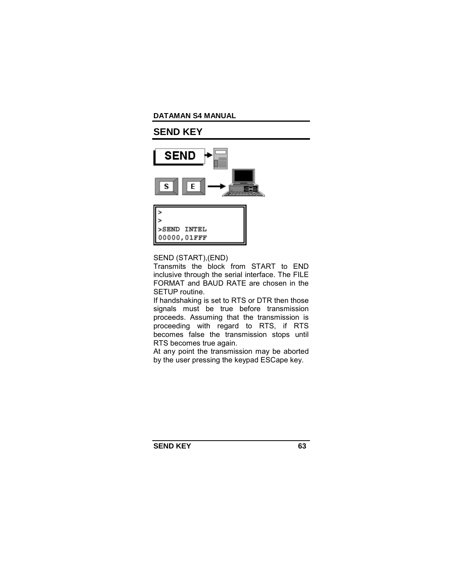# **SEND KEY**





SEND (START),(END)

Transmits the block from START to END inclusive through the serial interface. The FILE FORMAT and BAUD RATE are chosen in the SETUP routine.

If handshaking is set to RTS or DTR then those signals must be true before transmission proceeds. Assuming that the transmission is proceeding with regard to RTS, if RTS becomes false the transmission stops until RTS becomes true again.

At any point the transmission may be aborted by the user pressing the keypad ESCape key.

**SEND KEY** 63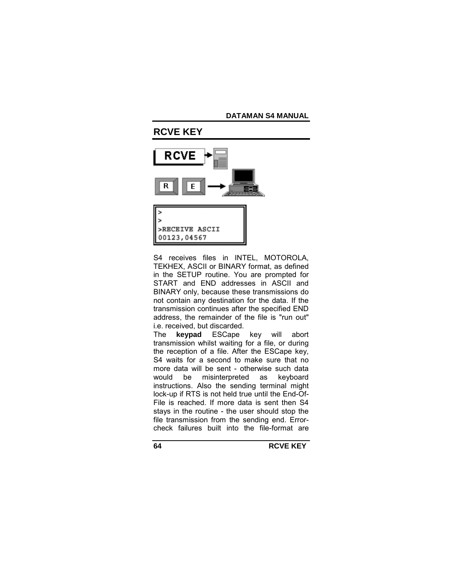

S4 receives files in INTEL, MOTOROLA, TEKHEX, ASCII or BINARY format, as defined in the SETUP routine. You are prompted for START and END addresses in ASCII and BINARY only, because these transmissions do not contain any destination for the data. If the transmission continues after the specified END address, the remainder of the file is "run out" i.e. received, but discarded.

The **keypad** ESCape key will abort transmission whilst waiting for a file, or during the reception of a file. After the ESCape key, S4 waits for a second to make sure that no more data will be sent - otherwise such data would be misinterpreted as keyboard instructions. Also the sending terminal might lock-up if RTS is not held true until the End-Of-File is reached. If more data is sent then S4 stays in the routine - the user should stop the file transmission from the sending end. Errorcheck failures built into the file-format are

**64 RCVE KEY**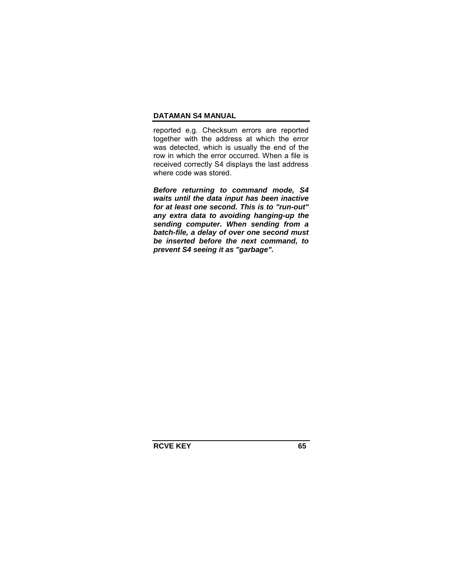reported e.g. Checksum errors are reported together with the address at which the error was detected, which is usually the end of the row in which the error occurred. When a file is received correctly S4 displays the last address where code was stored.

*Before returning to command mode, S4 waits until the data input has been inactive for at least one second. This is to "run-out" any extra data to avoiding hanging-up the sending computer. When sending from a batch-file, a delay of over one second must be inserted before the next command, to prevent S4 seeing it as "garbage".* 

**RCVE KEY 65**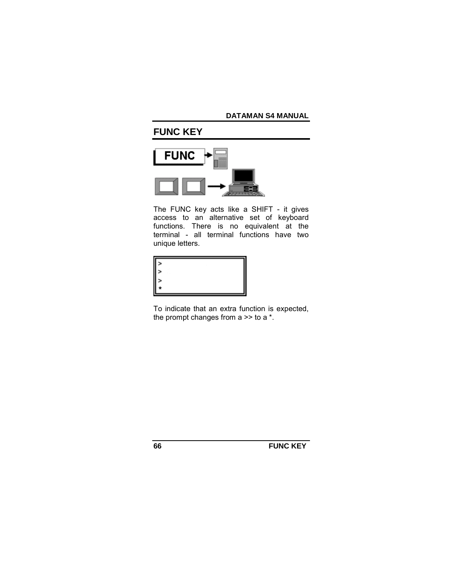# **FUNC KEY**



The FUNC key acts like a SHIFT - it gives access to an alternative set of keyboard functions. There is no equivalent at the terminal - all terminal functions have two unique letters.



To indicate that an extra function is expected, the prompt changes from  $a \gg$  to  $a^*$ .

**66 FUNC KEY**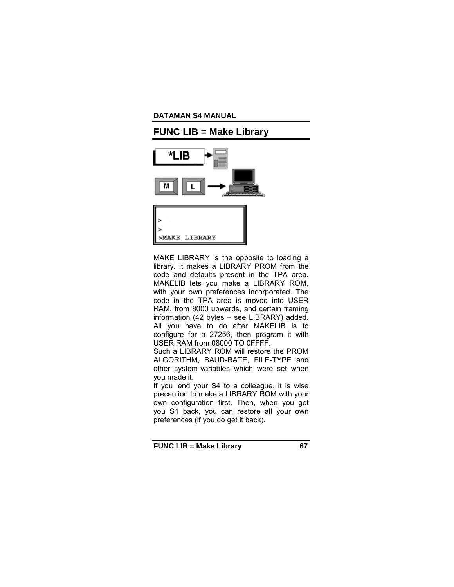

MAKE LIBRARY is the opposite to loading a library. It makes a LIBRARY PROM from the code and defaults present in the TPA area. MAKELIB lets you make a LIBRARY ROM, with your own preferences incorporated. The code in the TPA area is moved into USER RAM, from 8000 upwards, and certain framing information (42 bytes  $-$  see LIBRARY) added. All you have to do after MAKELIB is to configure for a 27256, then program it with USER RAM from 08000 TO 0FFFF.

Such a LIBRARY ROM will restore the PROM ALGORITHM, BAUD-RATE, FILE-TYPE and other system-variables which were set when you made it.

If you lend your S4 to a colleague, it is wise precaution to make a LIBRARY ROM with your own configuration first. Then, when you get you S4 back, you can restore all your own preferences (if you do get it back).

**FUNC LIB = Make Library 67**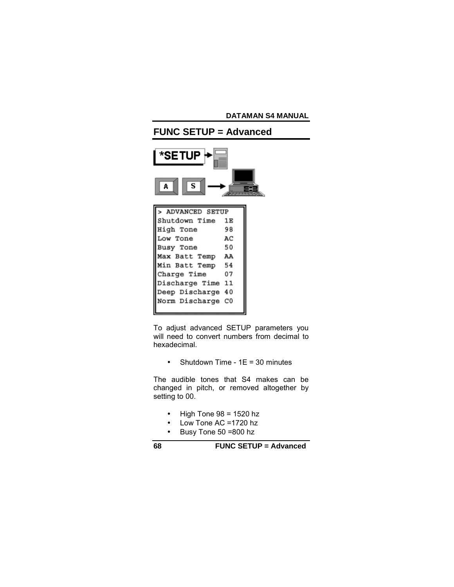

To adjust advanced SETUP parameters you will need to convert numbers from decimal to hexadecimal.

• Shutdown Time -  $1E = 30$  minutes

The audible tones that S4 makes can be changed in pitch, or removed altogether by setting to 00.

- $\bullet$  High Tone 98 = 1520 hz
- Low Tone AC =1720 hz
- Busy Tone 50 =800 hz

**68 FUNC SETUP = Advanced**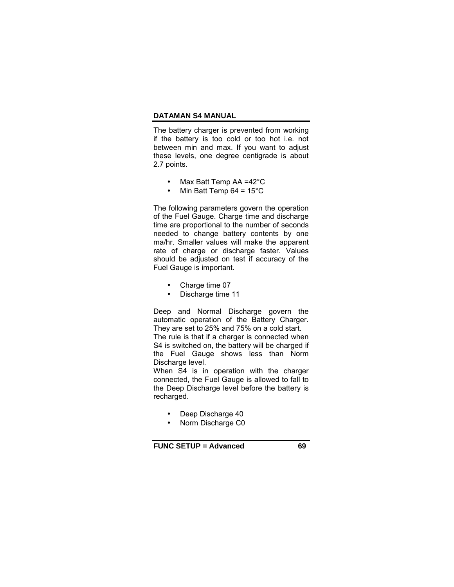The battery charger is prevented from working if the battery is too cold or too hot i.e. not between min and max. If you want to adjust these levels, one degree centigrade is about 2.7 points.

- Max Batt Temp AA =42°C
- Min Batt Temp  $64 = 15^{\circ}$ C

The following parameters govern the operation of the Fuel Gauge. Charge time and discharge time are proportional to the number of seconds needed to change battery contents by one ma/hr. Smaller values will make the apparent rate of charge or discharge faster. Values should be adjusted on test if accuracy of the Fuel Gauge is important.

- Charge time 07
- Discharge time 11

Deep and Normal Discharge govern the automatic operation of the Battery Charger. They are set to 25% and 75% on a cold start.

The rule is that if a charger is connected when S4 is switched on, the battery will be charged if the Fuel Gauge shows less than Norm Discharge level.

When S4 is in operation with the charger connected, the Fuel Gauge is allowed to fall to the Deep Discharge level before the battery is recharged.

- Deep Discharge 40
- Norm Discharge C0

**FUNC SETUP = Advanced 69**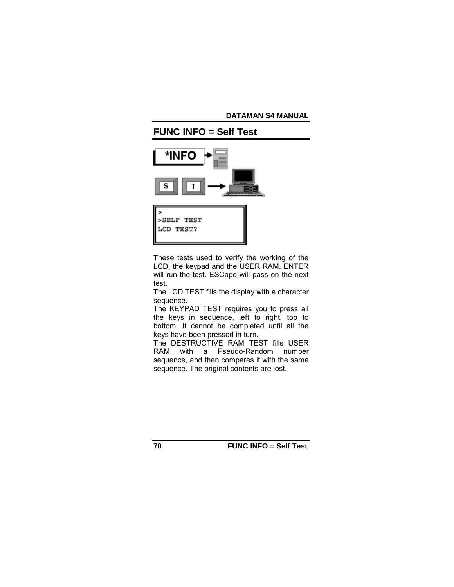

These tests used to verify the working of the LCD, the keypad and the USER RAM. ENTER will run the test. ESCape will pass on the next test.

The LCD TEST fills the display with a character sequence.

The KEYPAD TEST requires you to press all the keys in sequence, left to right, top to bottom. It cannot be completed until all the keys have been pressed in turn.

The DESTRUCTIVE RAM TEST fills USER RAM with a Pseudo-Random number sequence, and then compares it with the same sequence. The original contents are lost.

**70 FUNC INFO = Self Test**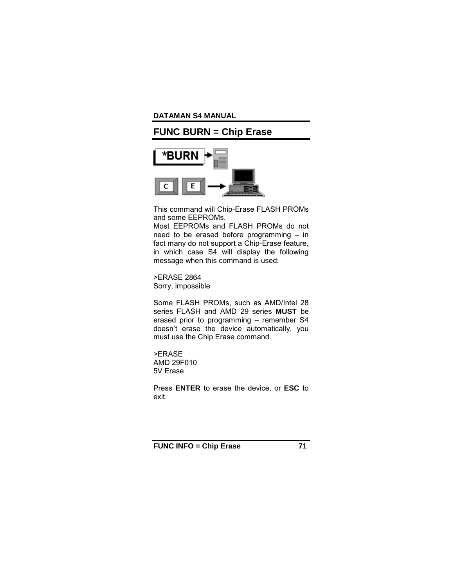# **FUNC BURN = Chip Erase**



This command will Chip-Erase FLASH PROMs and some EEPROMs.

Most EEPROMs and FLASH PROMs do not need to be erased before programming  $-$  in fact many do not support a Chip-Erase feature, in which case S4 will display the following message when this command is used:

>ERASE 2864 Sorry, impossible

Some FLASH PROMs, such as AMD/Intel 28 series FLASH and AMD 29 series **MUST** be erased prior to programming  $-$  remember S4 doesnít erase the device automatically, you must use the Chip Erase command.

>ERASE AMD 29F010 5V Erase

Press **ENTER** to erase the device, or **ESC** to exit.

**FUNC INFO = Chip Erase 71**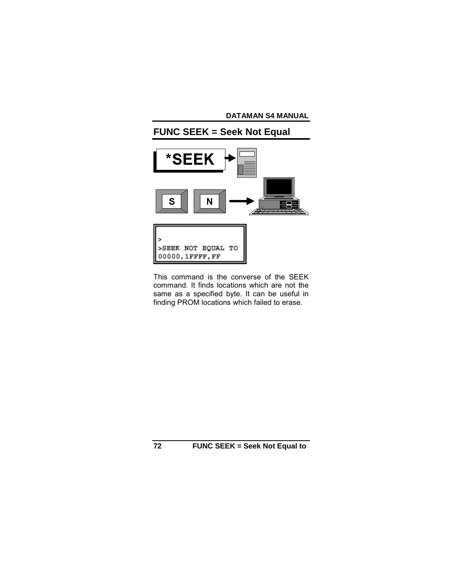

This command is the converse of the SEEK command. It finds locations which are not the same as a specified byte. It can be useful in finding PROM locations which failed to erase.

**72 FUNC SEEK = Seek Not Equal to**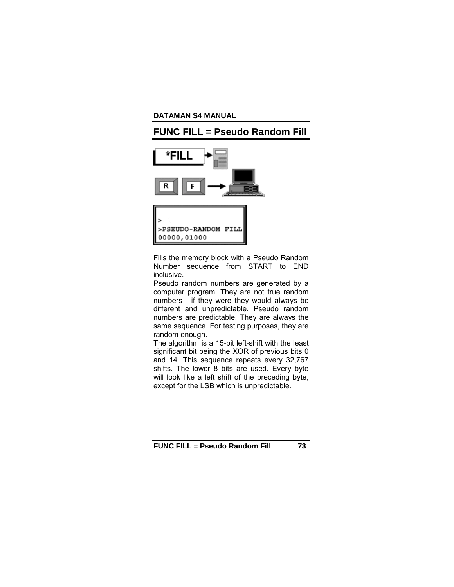# **FUNC FILL = Pseudo Random Fill**



Fills the memory block with a Pseudo Random Number sequence from START to END inclusive.

Pseudo random numbers are generated by a computer program. They are not true random numbers - if they were they would always be different and unpredictable. Pseudo random numbers are predictable. They are always the same sequence. For testing purposes, they are random enough.

The algorithm is a 15-bit left-shift with the least significant bit being the XOR of previous bits 0 and 14. This sequence repeats every 32,767 shifts. The lower 8 bits are used. Every byte will look like a left shift of the preceding byte, except for the LSB which is unpredictable.

**FUNC FILL = Pseudo Random Fill 73**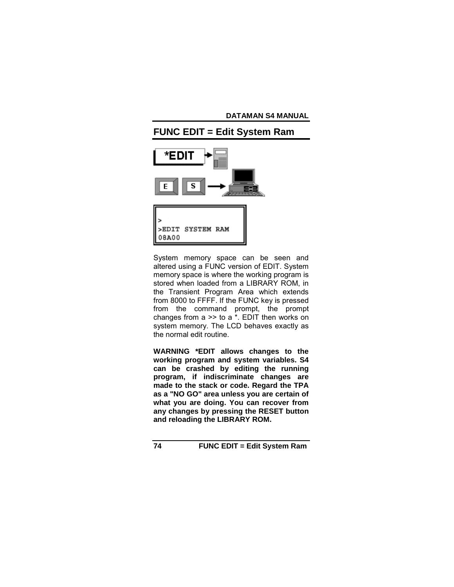

System memory space can be seen and altered using a FUNC version of EDIT. System memory space is where the working program is stored when loaded from a LIBRARY ROM, in the Transient Program Area which extends from 8000 to FFFF. If the FUNC key is pressed from the command prompt, the prompt changes from  $a \gg$  to  $a^*$ . EDIT then works on system memory. The LCD behaves exactly as the normal edit routine.

**WARNING \*EDIT allows changes to the working program and system variables. S4 can be crashed by editing the running program, if indiscriminate changes are made to the stack or code. Regard the TPA as a "NO GO" area unless you are certain of what you are doing. You can recover from any changes by pressing the RESET button and reloading the LIBRARY ROM.** 

**74 FUNC EDIT = Edit System Ram**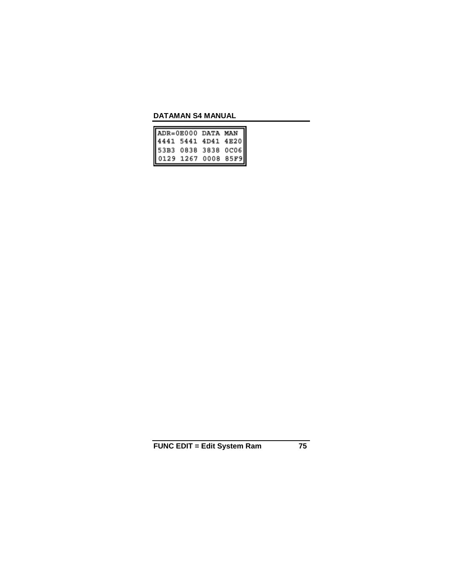| ADR=0E000 DATA MAN  |  |  |
|---------------------|--|--|
| 4441 5441 4D41 4E20 |  |  |
| 53B3 0838 3838 0C06 |  |  |
| 0129 1267 0008 85F9 |  |  |

**FUNC EDIT = Edit System Ram 75**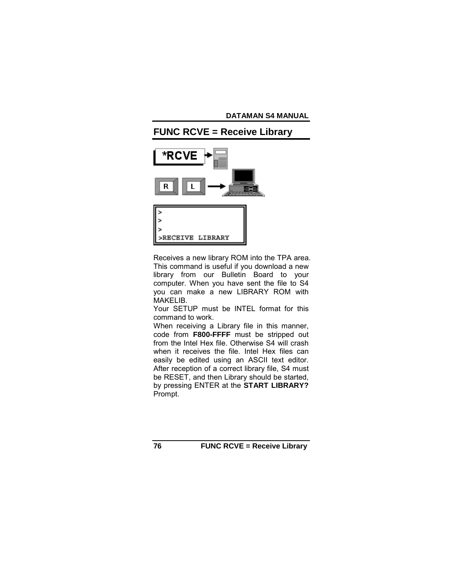

Receives a new library ROM into the TPA area. This command is useful if you download a new library from our Bulletin Board to your computer. When you have sent the file to S4 you can make a new LIBRARY ROM with MAKELIB.

Your SETUP must be INTEL format for this command to work.

When receiving a Library file in this manner, code from **F800-FFFF** must be stripped out from the Intel Hex file. Otherwise S4 will crash when it receives the file. Intel Hex files can easily be edited using an ASCII text editor. After reception of a correct library file, S4 must be RESET, and then Library should be started, by pressing ENTER at the **START LIBRARY?** Prompt.

**76 FUNC RCVE = Receive Library**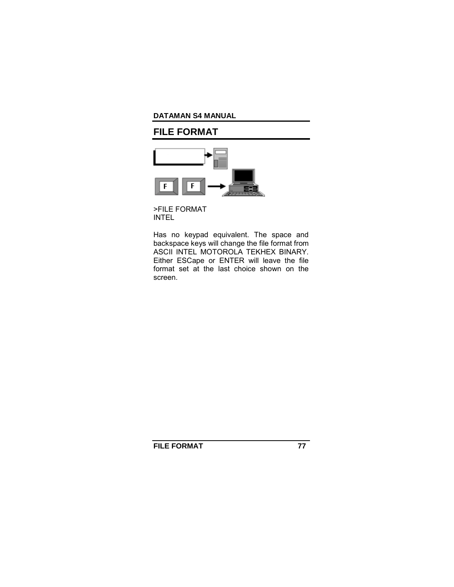# **FILE FORMAT**



>FILE FORMAT INTEL

Has no keypad equivalent. The space and backspace keys will change the file format from ASCII INTEL MOTOROLA TEKHEX BINARY. Either ESCape or ENTER will leave the file format set at the last choice shown on the screen.

**FILE FORMAT 77**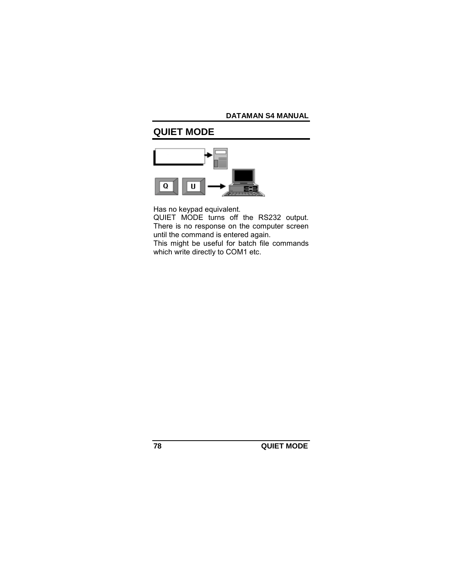# **QUIET MODE**



Has no keypad equivalent.

QUIET MODE turns off the RS232 output. There is no response on the computer screen until the command is entered again. This might be useful for batch file commands

which write directly to COM1 etc.

**78 QUIET MODE**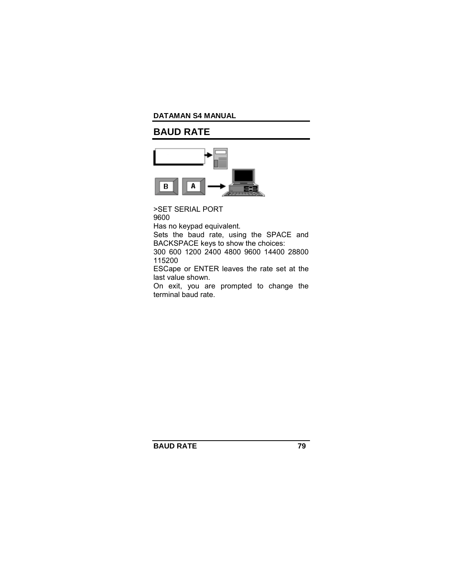# **BAUD RATE**



>SET SERIAL PORT 9600

Has no keypad equivalent.

Sets the baud rate, using the SPACE and BACKSPACE keys to show the choices: 300 600 1200 2400 4800 9600 14400 28800

115200

ESCape or ENTER leaves the rate set at the last value shown.

On exit, you are prompted to change the terminal baud rate.

**BAUD RATE 79**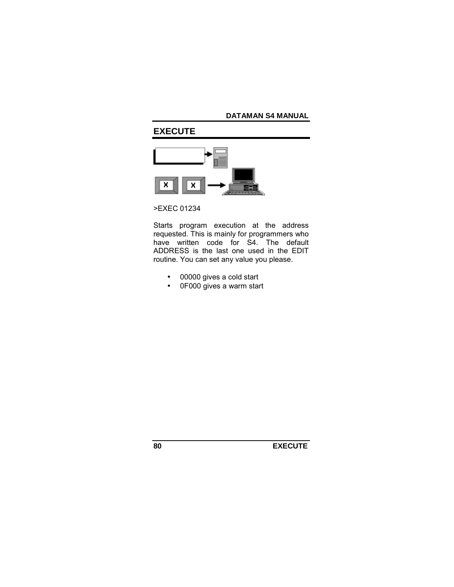# **EXECUTE**



### >EXEC 01234

Starts program execution at the address requested. This is mainly for programmers who have written code for S4. The default ADDRESS is the last one used in the EDIT routine. You can set any value you please.

- 00000 gives a cold start
- 0F000 gives a warm start

**80 EXECUTE**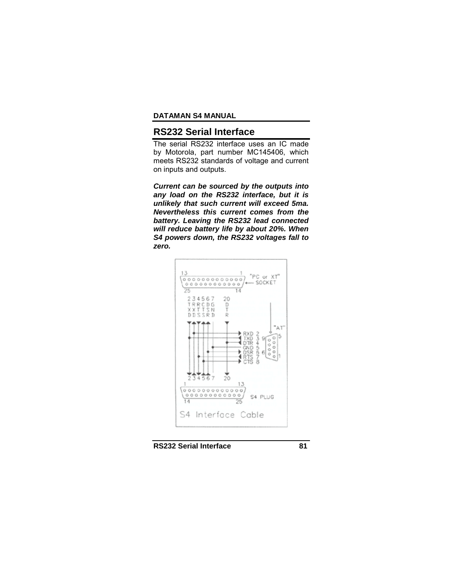### **RS232 Serial Interface**

The serial RS232 interface uses an IC made by Motorola, part number MC145406, which meets RS232 standards of voltage and current on inputs and outputs.

*Current can be sourced by the outputs into any load on the RS232 interface, but it is unlikely that such current will exceed 5ma. Nevertheless this current comes from the battery. Leaving the RS232 lead connected will reduce battery life by about 20%. When S4 powers down, the RS232 voltages fall to zero.*



**RS232 Serial Interface 81**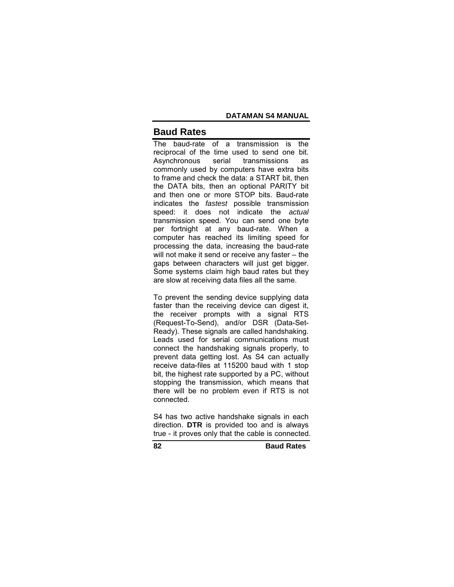### **Baud Rates**

The baud-rate of a transmission is the reciprocal of the time used to send one bit. Asynchronous serial transmissions as commonly used by computers have extra bits to frame and check the data: a START bit, then the DATA bits, then an optional PARITY bit and then one or more STOP bits. Baud-rate indicates the *fastest* possible transmission speed: it does not indicate the *actual* transmission speed. You can send one byte per fortnight at any baud-rate. When a computer has reached its limiting speed for processing the data, increasing the baud-rate will not make it send or receive any faster  $-$  the gaps between characters will just get bigger. Some systems claim high baud rates but they are slow at receiving data files all the same.

To prevent the sending device supplying data faster than the receiving device can digest it, the receiver prompts with a signal RTS (Request-To-Send), and/or DSR (Data-Set-Ready). These signals are called handshaking. Leads used for serial communications must connect the handshaking signals properly, to prevent data getting lost. As S4 can actually receive data-files at 115200 baud with 1 stop bit, the highest rate supported by a PC, without stopping the transmission, which means that there will be no problem even if RTS is not connected.

S4 has two active handshake signals in each direction. **DTR** is provided too and is always true - it proves only that the cable is connected.

**82 Baud Rates**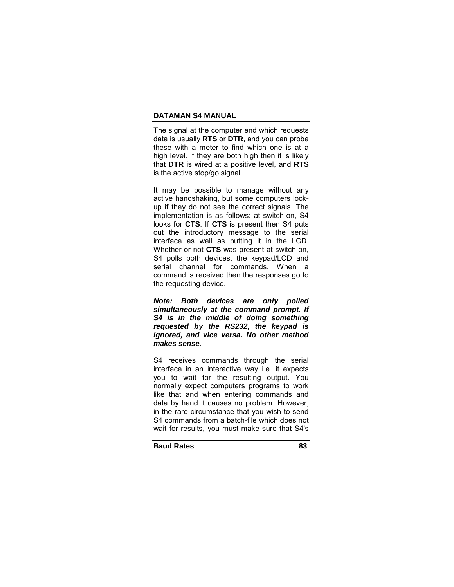The signal at the computer end which requests data is usually **RTS** or **DTR**, and you can probe these with a meter to find which one is at a high level. If they are both high then it is likely that **DTR** is wired at a positive level, and **RTS** is the active stop/go signal.

It may be possible to manage without any active handshaking, but some computers lockup if they do not see the correct signals. The implementation is as follows: at switch-on, S4 looks for **CTS**. If **CTS** is present then S4 puts out the introductory message to the serial interface as well as putting it in the LCD. Whether or not **CTS** was present at switch-on, S4 polls both devices, the keypad/LCD and serial channel for commands. When a command is received then the responses go to the requesting device.

*Note: Both devices are only polled simultaneously at the command prompt. If S4 is in the middle of doing something requested by the RS232, the keypad is ignored, and vice versa. No other method makes sense.* 

S4 receives commands through the serial interface in an interactive way i.e. it expects you to wait for the resulting output. You normally expect computers programs to work like that and when entering commands and data by hand it causes no problem. However, in the rare circumstance that you wish to send S4 commands from a batch-file which does not wait for results, you must make sure that S4's

**Baud Rates 83**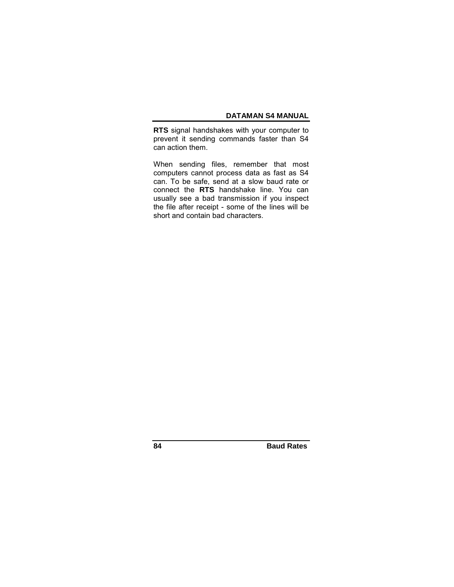**RTS** signal handshakes with your computer to prevent it sending commands faster than S4 can action them.

When sending files, remember that most computers cannot process data as fast as S4 can. To be safe, send at a slow baud rate or connect the **RTS** handshake line. You can usually see a bad transmission if you inspect the file after receipt - some of the lines will be short and contain bad characters.

**84 Baud Rates**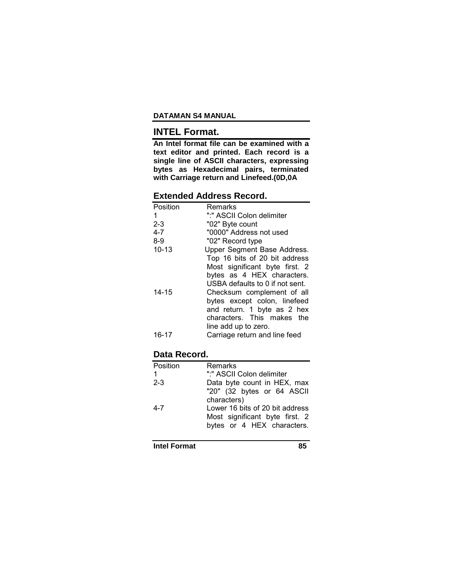# **INTEL Format.**

**An Intel format file can be examined with a text editor and printed. Each record is a single line of ASCII characters, expressing bytes as Hexadecimal pairs, terminated with Carriage return and Linefeed.(0D,0A** 

## **Extended Address Record.**

| Position  | Remarks                         |
|-----------|---------------------------------|
| 1         | ":" ASCII Colon delimiter       |
| $2 - 3$   | "02" Byte count                 |
| $4 - 7$   | "0000" Address not used         |
| $8-9$     | "02" Record type                |
| $10 - 13$ | Upper Segment Base Address.     |
|           | Top 16 bits of 20 bit address   |
|           | Most significant byte first. 2  |
|           | bytes as 4 HEX characters.      |
|           | USBA defaults to 0 if not sent. |
| $14 - 15$ | Checksum complement of all      |
|           | bytes except colon, linefeed    |
|           | and return. 1 byte as 2 hex     |
|           | characters. This makes the      |
|           | line add up to zero.            |
| $16 - 17$ | Carriage return and line feed   |

#### **Data Record.**

| Position | Remarks                         |
|----------|---------------------------------|
| 1        | ":" ASCII Colon delimiter       |
| $2 - 3$  | Data byte count in HEX, max     |
|          | "20" (32 bytes or 64 ASCII      |
|          | characters)                     |
| $4 - 7$  | Lower 16 bits of 20 bit address |
|          | Most significant byte first. 2  |
|          | bytes or 4 HEX characters.      |
|          |                                 |

**Intel Format** 85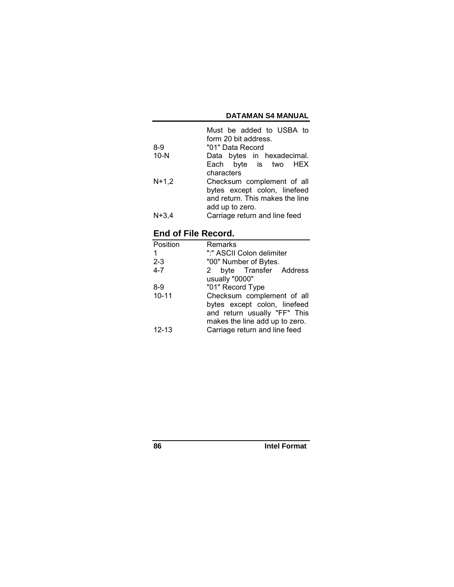|         | Must be added to USBA to        |
|---------|---------------------------------|
|         | form 20 bit address.            |
| 8-9     | "01" Data Record                |
| $10-N$  | Data bytes in hexadecimal.      |
|         | Each byte is two HEX            |
|         | characters                      |
| $N+1,2$ | Checksum complement of all      |
|         | bytes except colon, linefeed    |
|         | and return. This makes the line |
|         | add up to zero.                 |
| $N+3,4$ | Carriage return and line feed   |

# **End of File Record.**

| Position  | Remarks                        |
|-----------|--------------------------------|
| 1         | ":" ASCII Colon delimiter      |
| $2 - 3$   | "00" Number of Bytes.          |
| $4 - 7$   | 2 byte Transfer Address        |
|           | usually "0000"                 |
| 8-9       | "01" Record Type               |
| $10 - 11$ | Checksum complement of all     |
|           | bytes except colon, linefeed   |
|           | and return usually "FF" This   |
|           | makes the line add up to zero. |
| $12 - 13$ | Carriage return and line feed  |

**86 Intel Format**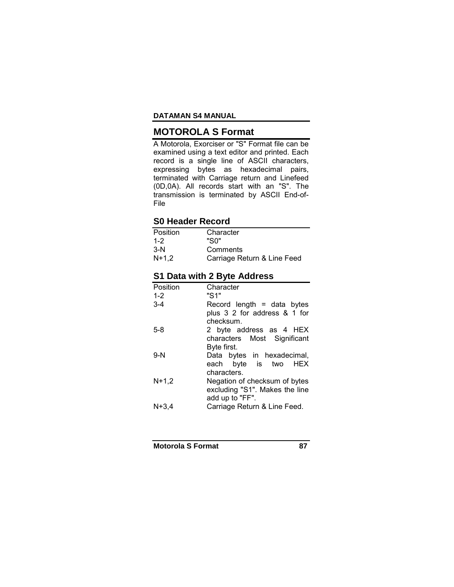## **MOTOROLA S Format**

A Motorola, Exorciser or "S" Format file can be examined using a text editor and printed. Each record is a single line of ASCII characters, expressing bytes as hexadecimal pairs, terminated with Carriage return and Linefeed (0D,0A). All records start with an "S". The transmission is terminated by ASCII End-of-File

## **S0 Header Record**

| Position | Character                   |
|----------|-----------------------------|
| $1 - 2$  | "Sበ"                        |
| $3-N$    | Comments                    |
| $N+1.2$  | Carriage Return & Line Feed |

## **S1 Data with 2 Byte Address**

| Position | Character                      |
|----------|--------------------------------|
| $1 - 2$  | "S1"                           |
| $3 - 4$  | Record length $=$ data bytes   |
|          | plus 3 2 for address & 1 for   |
|          | checksum.                      |
| $5-8$    | 2 byte address as 4 HEX        |
|          | characters Most Significant    |
|          | Byte first.                    |
| $9-N$    | Data bytes in hexadecimal,     |
|          | each byte is two HEX           |
|          | characters.                    |
| $N+1.2$  | Negation of checksum of bytes  |
|          | excluding "S1". Makes the line |
|          | add up to "FF".                |
| $N+3,4$  | Carriage Return & Line Feed.   |

**Motorola S Format 87**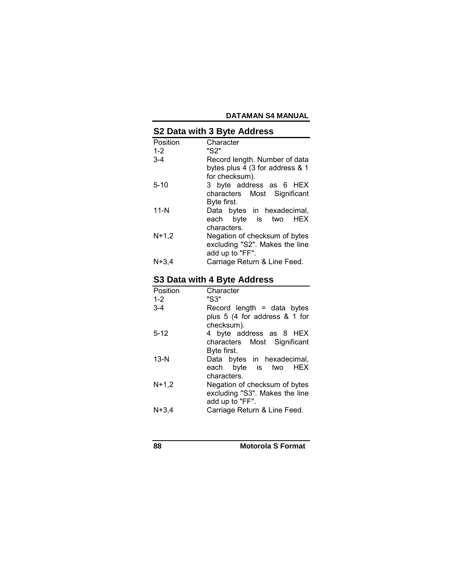#### **S2 Data with 3 Byte Address**  Position Character<br>1-2 "S2" 1-2 "S2" Record length. Number of data bytes plus 4 (3 for address & 1 for checksum). 5-10 3 byte address as 6 HEX characters Most Significant Byte first. 11-N Data bytes in hexadecimal, each byte is two HEX characters. N+1,2 Negation of checksum of bytes excluding "S2". Makes the line add up to "FF". N+3,4 Carriage Return & Line Feed.

## **S3 Data with 4 Byte Address**

| Character                      |
|--------------------------------|
| "S3"                           |
| Record length $=$ data bytes   |
| plus 5 (4 for address & 1 for  |
| checksum).                     |
| 4 byte address as 8 HEX        |
| characters Most Significant    |
| Byte first.                    |
| Data bytes in hexadecimal,     |
| each byte is two HEX           |
| characters.                    |
| Negation of checksum of bytes  |
| excluding "S3". Makes the line |
| add up to "FF".                |
| Carriage Return & Line Feed.   |
|                                |

**88 Motorola S Format**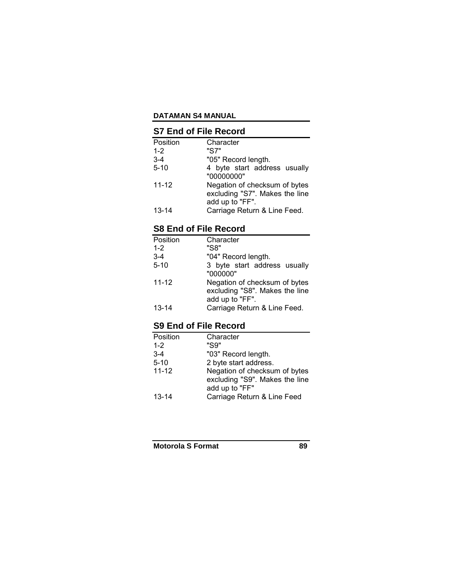## **S7 End of File Record**

| Position  | Character                                                                          |
|-----------|------------------------------------------------------------------------------------|
| $1 - 2$   | "S7"                                                                               |
| $3-4$     | "05" Record length.                                                                |
| $5 - 10$  | 4 byte start address usually<br>"00000000"                                         |
| $11 - 12$ | Negation of checksum of bytes<br>excluding "S7". Makes the line<br>add up to "FF". |
| $13 - 14$ | Carriage Return & Line Feed.                                                       |

# **S8 End of File Record**

| Position  | Character                                                                          |
|-----------|------------------------------------------------------------------------------------|
| $1 - 2$   | "S8"                                                                               |
| $3 - 4$   | "04" Record length.                                                                |
| $5 - 10$  | 3 byte start address usually<br>"000000"                                           |
| $11 - 12$ | Negation of checksum of bytes<br>excluding "S8". Makes the line<br>add up to "FF". |
| $13 - 14$ | Carriage Return & Line Feed.                                                       |

# **S9 End of File Record**

| Position  | Character                                                                         |  |
|-----------|-----------------------------------------------------------------------------------|--|
| $1 - 2$   | "S9"                                                                              |  |
| $3 - 4$   | "03" Record length.                                                               |  |
| $5 - 10$  | 2 byte start address.                                                             |  |
| $11 - 12$ | Negation of checksum of bytes<br>excluding "S9". Makes the line<br>add up to "FF" |  |
| $13-14$   | Carriage Return & Line Feed                                                       |  |

**Motorola S Format 89**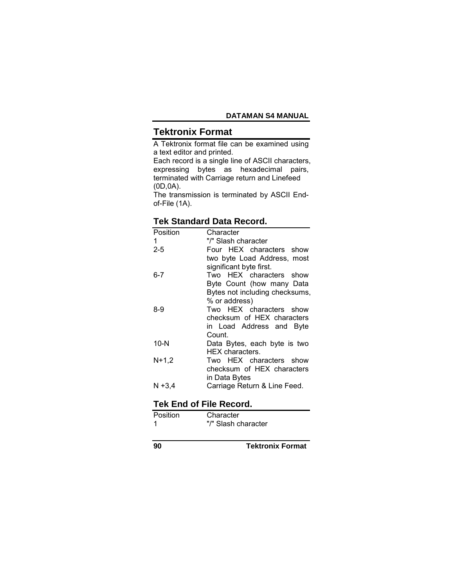# **Tektronix Format**

A Tektronix format file can be examined using a text editor and printed.

Each record is a single line of ASCII characters, expressing bytes as hexadecimal pairs, terminated with Carriage return and Linefeed (0D,0A).

The transmission is terminated by ASCII Endof-File (1A).

## **Tek Standard Data Record.**

| Position | Character                      |
|----------|--------------------------------|
| 1        | "/" Slash character            |
| $2 - 5$  | Four HEX characters show       |
|          | two byte Load Address, most    |
|          | significant byte first.        |
| $6 - 7$  | Two HEX characters show        |
|          | Byte Count (how many Data      |
|          | Bytes not including checksums, |
|          | % or address)                  |
| 8-9      | Two HEX characters show        |
|          | checksum of HEX characters     |
|          | in Load Address and Byte       |
|          | Count.                         |
| $10-N$   | Data Bytes, each byte is two   |
|          | <b>HEX</b> characters.         |
| $N+1,2$  | Two HEX characters show        |
|          | checksum of HEX characters     |
|          | in Data Bytes                  |
| N +3,4   | Carriage Return & Line Feed.   |

## **Tek End of File Record.**

| Position | Character           |
|----------|---------------------|
|          | "/" Slash character |

**90 Tektronix Format**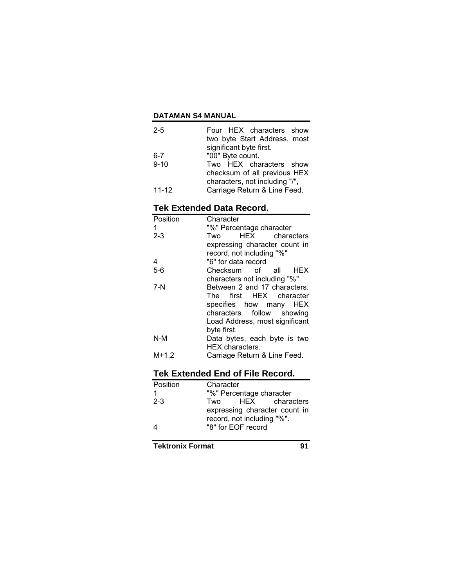| $2 - 5$   | Four HEX characters show       |  |  |
|-----------|--------------------------------|--|--|
|           | two byte Start Address, most   |  |  |
|           | significant byte first.        |  |  |
| 6-7       | "00" Byte count.               |  |  |
| $9 - 10$  | Two HEX characters show        |  |  |
|           | checksum of all previous HEX   |  |  |
|           | characters, not including "/", |  |  |
| $11 - 12$ | Carriage Return & Line Feed.   |  |  |

# **Tek Extended Data Record.**

| Position | Character                      |  |  |
|----------|--------------------------------|--|--|
| 1        | "%" Percentage character       |  |  |
| $2 - 3$  | HEX characters<br>Two          |  |  |
|          | expressing character count in  |  |  |
|          | record, not including "%"      |  |  |
| 4        | "6" for data record            |  |  |
| $5-6$    | Checksum of all HEX            |  |  |
|          | characters not including "%".  |  |  |
| $7-N$    | Between 2 and 17 characters.   |  |  |
|          | The first HEX character        |  |  |
|          | specifies how many HEX         |  |  |
|          | characters follow showing      |  |  |
|          | Load Address, most significant |  |  |
|          | byte first.                    |  |  |
| $N-M$    | Data bytes, each byte is two   |  |  |
|          | <b>HEX</b> characters.         |  |  |
| $M+1,2$  | Carriage Return & Line Feed.   |  |  |

# **Tek Extended End of File Record.**

| Position | Character                |                                                             |                |  |
|----------|--------------------------|-------------------------------------------------------------|----------------|--|
| 1        | "%" Percentage character |                                                             |                |  |
| $2 - 3$  | Two                      |                                                             | HEX characters |  |
|          |                          | expressing character count in<br>record, not including "%". |                |  |
|          |                          | "8" for EOF record                                          |                |  |

**Tektronix Format** 91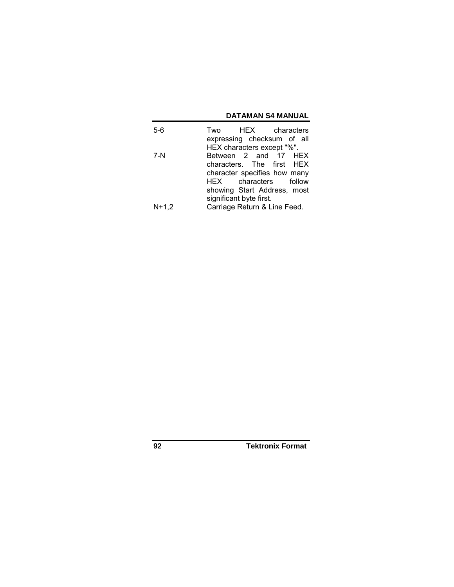| 5-6     |                              | Two HEX characters           |  |  |
|---------|------------------------------|------------------------------|--|--|
|         |                              | expressing checksum of all   |  |  |
|         |                              | HEX characters except "%".   |  |  |
| 7-N     |                              | Between 2 and 17 HEX         |  |  |
|         |                              | characters. The first HEX    |  |  |
|         |                              | character specifies how many |  |  |
|         |                              | HEX characters follow        |  |  |
|         |                              | showing Start Address, most  |  |  |
|         | significant byte first.      |                              |  |  |
| $N+1.2$ | Carriage Return & Line Feed. |                              |  |  |

**92 Tektronix Format**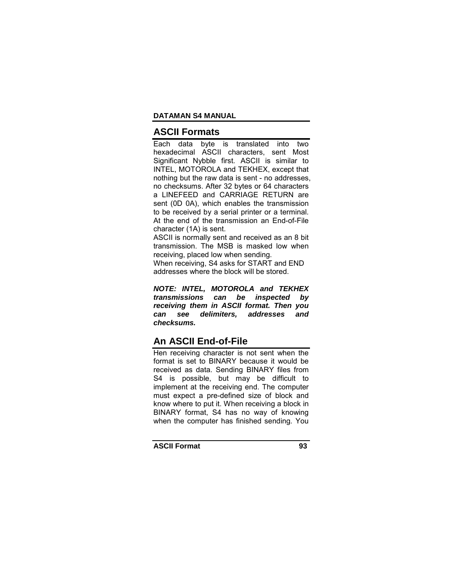### **ASCII Formats**

Each data byte is translated into two hexadecimal ASCII characters, sent Most Significant Nybble first. ASCII is similar to INTEL, MOTOROLA and TEKHEX, except that nothing but the raw data is sent - no addresses, no checksums. After 32 bytes or 64 characters a LINEFEED and CARRIAGE RETURN are sent (0D 0A), which enables the transmission to be received by a serial printer or a terminal. At the end of the transmission an End-of-File character (1A) is sent.

ASCII is normally sent and received as an 8 bit transmission. The MSB is masked low when receiving, placed low when sending.

When receiving, S4 asks for START and END addresses where the block will be stored.

*NOTE: INTEL, MOTOROLA and TEKHEX transmissions can be inspected by receiving them in ASCII format. Then you can see delimiters, addresses and checksums.* 

### **An ASCII End-of-File**

Hen receiving character is not sent when the format is set to BINARY because it would be received as data. Sending BINARY files from S4 is possible, but may be difficult to implement at the receiving end. The computer must expect a pre-defined size of block and know where to put it. When receiving a block in BINARY format, S4 has no way of knowing when the computer has finished sending. You

**ASCII Format 93**

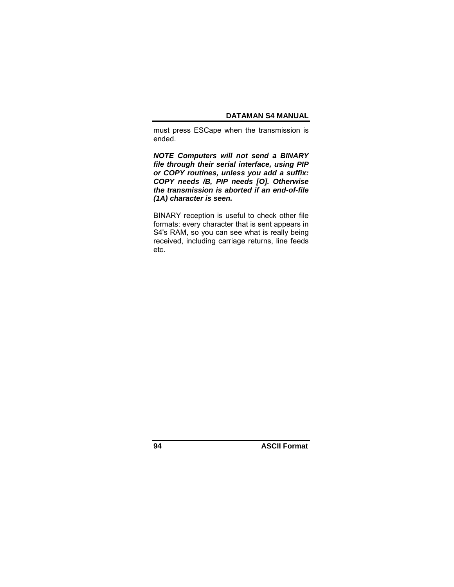must press ESCape when the transmission is ended.

*NOTE Computers will not send a BINARY file through their serial interface, using PIP or COPY routines, unless you add a suffix: COPY needs /B, PIP needs [O]. Otherwise the transmission is aborted if an end-of-file (1A) character is seen.* 

BINARY reception is useful to check other file formats: every character that is sent appears in S4's RAM, so you can see what is really being received, including carriage returns, line feeds etc.

**94 ASCII Format**